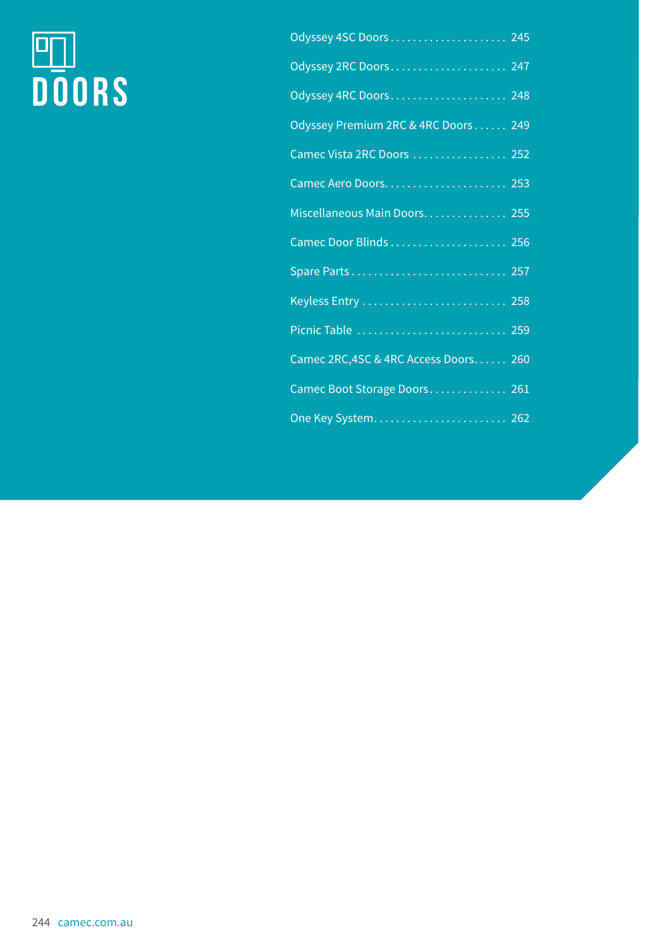# **DOORS**

| Odyssey 2RC Doors 247                 |
|---------------------------------------|
| Odyssey 4RC Doors 248                 |
| Odyssey Premium 2RC & 4RC Doors  249  |
| Camec Vista 2RC Doors  252            |
|                                       |
| Miscellaneous Main Doors 255          |
| Camec Door Blinds  256                |
| Spare Parts 257                       |
|                                       |
| Picnic Table  259                     |
| Camec 2RC, 4SC & 4RC Access Doors 260 |
| Camec Boot Storage Doors 261          |
| One Key System 262                    |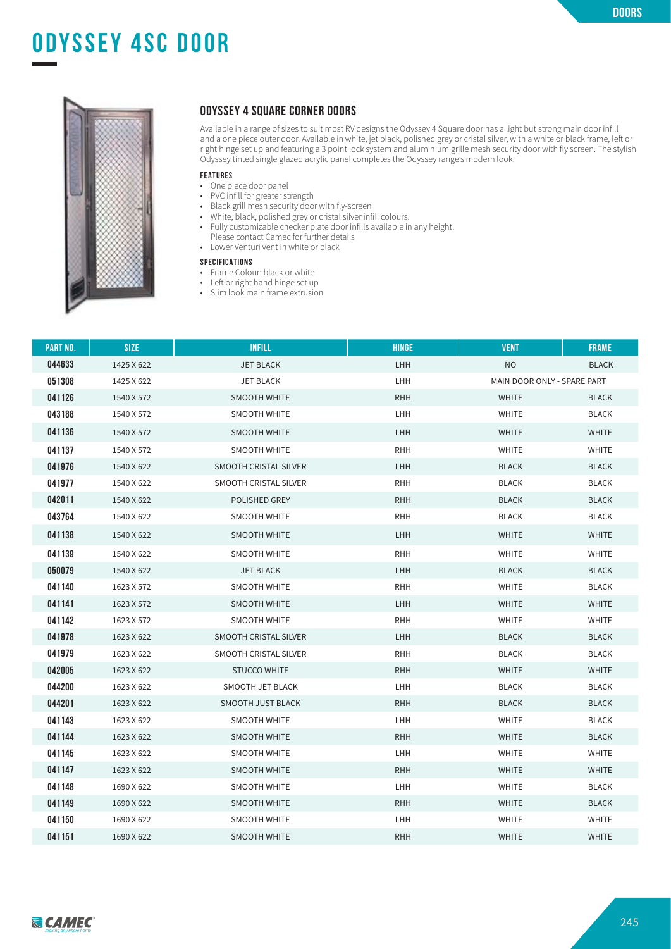# **ODYSSEY 4sc door**



#### **ODYSSEY 4 SQUARE CORNER DOORS**

Available in a range of sizes to suit most RV designs the Odyssey 4 Square door has a light but strong main door infill and a one piece outer door. Available in white, jet black, polished grey or cristal silver, with a white or black frame, left or right hinge set up and featuring a 3 point lock system and aluminium grille mesh security door with fly screen. The stylish Odyssey tinted single glazed acrylic panel completes the Odyssey range's modern look.

#### **FEATURES**

- One piece door panel
- PVC infill for greater strength
- Black grill mesh security door with fly-screen
- White, black, polished grey or cristal silver infill colours.
- Fully customizable checker plate door infills available in any height.
- Please contact Camec for further details
- Lower Venturi vent in white or black

#### **SPECIFICATIONS**

- Frame Colour: black or white
- Left or right hand hinge set up
- Slim look main frame extrusion

| <b>PART NO.</b> | <b>SIZE</b> | <b>INFILL</b>         | <b>HINGE</b> | <b>VENT</b>                 | <b>FRAME</b> |
|-----------------|-------------|-----------------------|--------------|-----------------------------|--------------|
| 044633          | 1425 X 622  | <b>JET BLACK</b>      | <b>LHH</b>   | <b>NO</b>                   | <b>BLACK</b> |
| 051308          | 1425 X 622  | <b>JET BLACK</b>      | LHH          | MAIN DOOR ONLY - SPARE PART |              |
| 041126          | 1540 X 572  | <b>SMOOTH WHITE</b>   | <b>RHH</b>   | <b>WHITE</b>                | <b>BLACK</b> |
| 043188          | 1540 X 572  | <b>SMOOTH WHITE</b>   | LHH          | <b>WHITE</b>                | <b>BLACK</b> |
| 041136          | 1540 X 572  | SMOOTH WHITE          | <b>LHH</b>   | <b>WHITE</b>                | <b>WHITE</b> |
| 041137          | 1540 X 572  | <b>SMOOTH WHITE</b>   | <b>RHH</b>   | <b>WHITE</b>                | <b>WHITE</b> |
| 041976          | 1540 X 622  | SMOOTH CRISTAL SILVER | <b>LHH</b>   | <b>BLACK</b>                | <b>BLACK</b> |
| 041977          | 1540 X 622  | SMOOTH CRISTAL SILVER | <b>RHH</b>   | <b>BLACK</b>                | <b>BLACK</b> |
| 042011          | 1540 X 622  | POLISHED GREY         | <b>RHH</b>   | <b>BLACK</b>                | <b>BLACK</b> |
| 043764          | 1540 X 622  | SMOOTH WHITE          | <b>RHH</b>   | <b>BLACK</b>                | <b>BLACK</b> |
| 041138          | 1540 X 622  | SMOOTH WHITE          | <b>LHH</b>   | <b>WHITE</b>                | <b>WHITE</b> |
| 041139          | 1540 X 622  | <b>SMOOTH WHITE</b>   | <b>RHH</b>   | <b>WHITE</b>                | <b>WHITE</b> |
| 050079          | 1540 X 622  | <b>JET BLACK</b>      | <b>LHH</b>   | <b>BLACK</b>                | <b>BLACK</b> |
| 041140          | 1623 X 572  | <b>SMOOTH WHITE</b>   | <b>RHH</b>   | <b>WHITE</b>                | <b>BLACK</b> |
| 041141          | 1623 X 572  | SMOOTH WHITE          | <b>LHH</b>   | <b>WHITE</b>                | <b>WHITE</b> |
| 041142          | 1623 X 572  | SMOOTH WHITE          | <b>RHH</b>   | <b>WHITE</b>                | <b>WHITE</b> |
| 041978          | 1623 X 622  | SMOOTH CRISTAL SILVER | <b>LHH</b>   | <b>BLACK</b>                | <b>BLACK</b> |
| 041979          | 1623 X 622  | SMOOTH CRISTAL SILVER | <b>RHH</b>   | <b>BLACK</b>                | <b>BLACK</b> |
| 042005          | 1623 X 622  | <b>STUCCO WHITE</b>   | <b>RHH</b>   | <b>WHITE</b>                | <b>WHITE</b> |
| 044200          | 1623 X 622  | SMOOTH JET BLACK      | LHH          | <b>BLACK</b>                | <b>BLACK</b> |
| 044201          | 1623 X 622  | SMOOTH JUST BLACK     | <b>RHH</b>   | <b>BLACK</b>                | <b>BLACK</b> |
| 041143          | 1623 X 622  | <b>SMOOTH WHITE</b>   | <b>LHH</b>   | <b>WHITE</b>                | <b>BLACK</b> |
| 041144          | 1623 X 622  | SMOOTH WHITE          | <b>RHH</b>   | <b>WHITE</b>                | <b>BLACK</b> |
| 041145          | 1623 X 622  | SMOOTH WHITE          | LHH          | <b>WHITE</b>                | <b>WHITE</b> |
| 041147          | 1623 X 622  | <b>SMOOTH WHITE</b>   | <b>RHH</b>   | <b>WHITE</b>                | <b>WHITE</b> |
| 041148          | 1690 X 622  | SMOOTH WHITE          | <b>LHH</b>   | <b>WHITE</b>                | <b>BLACK</b> |
| 041149          | 1690 X 622  | <b>SMOOTH WHITE</b>   | <b>RHH</b>   | <b>WHITE</b>                | <b>BLACK</b> |
| 041150          | 1690 X 622  | SMOOTH WHITE          | <b>LHH</b>   | <b>WHITE</b>                | <b>WHITE</b> |
| 041151          | 1690 X 622  | <b>SMOOTH WHITE</b>   | <b>RHH</b>   | <b>WHITE</b>                | <b>WHITE</b> |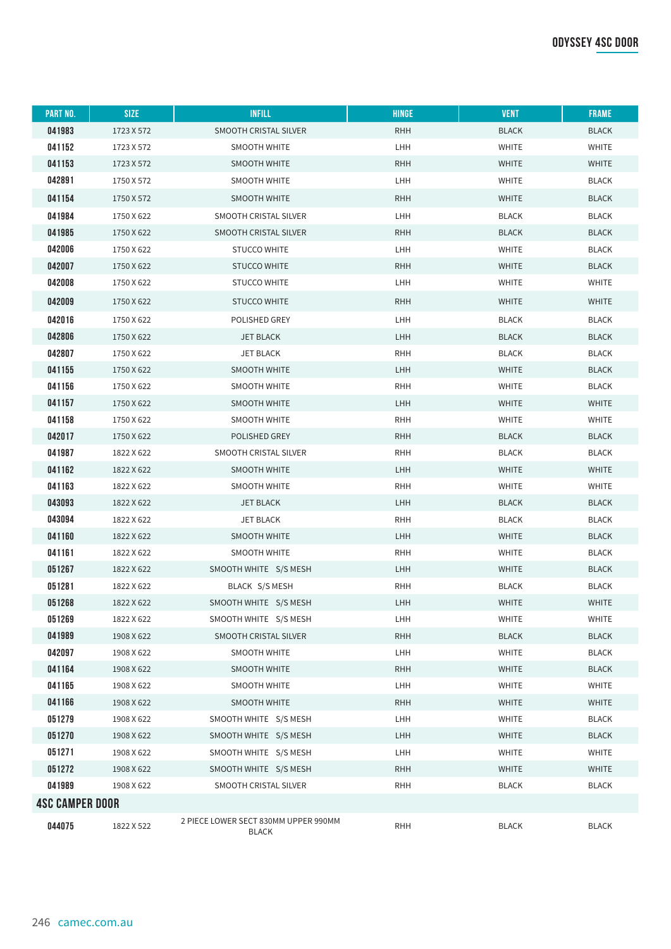| <b>PART NO.</b>        | <b>SIZE</b> | <b>INFILL</b>                                 | <b>HINGE</b> | <b>VENT</b>  | <b>FRAME</b> |
|------------------------|-------------|-----------------------------------------------|--------------|--------------|--------------|
| 041983                 | 1723 X 572  | SMOOTH CRISTAL SILVER                         | <b>RHH</b>   | <b>BLACK</b> | <b>BLACK</b> |
| 041152                 | 1723 X 572  | SMOOTH WHITE                                  | LHH          | <b>WHITE</b> | WHITE        |
| 041153                 | 1723 X 572  | SMOOTH WHITE                                  | <b>RHH</b>   | <b>WHITE</b> | <b>WHITE</b> |
| 042891                 | 1750 X 572  | SMOOTH WHITE                                  | LHH          | <b>WHITE</b> | <b>BLACK</b> |
| 041154                 | 1750 X 572  | SMOOTH WHITE                                  | <b>RHH</b>   | <b>WHITE</b> | <b>BLACK</b> |
| 041984                 | 1750 X 622  | SMOOTH CRISTAL SILVER                         | LHH          | <b>BLACK</b> | <b>BLACK</b> |
| 041985                 | 1750 X 622  | SMOOTH CRISTAL SILVER                         | <b>RHH</b>   | <b>BLACK</b> | <b>BLACK</b> |
| 042006                 | 1750 X 622  | <b>STUCCO WHITE</b>                           | LHH          | WHITE        | <b>BLACK</b> |
| 042007                 | 1750 X 622  | <b>STUCCO WHITE</b>                           | <b>RHH</b>   | <b>WHITE</b> | <b>BLACK</b> |
| 042008                 | 1750 X 622  | <b>STUCCO WHITE</b>                           | LHH          | WHITE        | WHITE        |
| 042009                 | 1750 X 622  | <b>STUCCO WHITE</b>                           | <b>RHH</b>   | WHITE        | WHITE        |
| 042016                 | 1750 X 622  | POLISHED GREY                                 | LHH          | <b>BLACK</b> | <b>BLACK</b> |
| 042806                 | 1750 X 622  | <b>JET BLACK</b>                              | LHH          | <b>BLACK</b> | <b>BLACK</b> |
| 042807                 | 1750 X 622  | <b>JET BLACK</b>                              | <b>RHH</b>   | <b>BLACK</b> | <b>BLACK</b> |
| 041155                 | 1750 X 622  | SMOOTH WHITE                                  | LHH          | <b>WHITE</b> | <b>BLACK</b> |
| 041156                 | 1750 X 622  | SMOOTH WHITE                                  | <b>RHH</b>   | WHITE        | <b>BLACK</b> |
| 041157                 | 1750 X 622  | SMOOTH WHITE                                  | LHH          | <b>WHITE</b> | <b>WHITE</b> |
| 041158                 | 1750 X 622  | SMOOTH WHITE                                  | <b>RHH</b>   | WHITE        | WHITE        |
| 042017                 | 1750 X 622  | POLISHED GREY                                 | <b>RHH</b>   | <b>BLACK</b> | <b>BLACK</b> |
| 041987                 | 1822 X 622  | SMOOTH CRISTAL SILVER                         | <b>RHH</b>   | <b>BLACK</b> | <b>BLACK</b> |
| 041162                 | 1822 X 622  | SMOOTH WHITE                                  | LHH          | <b>WHITE</b> | <b>WHITE</b> |
| 041163                 | 1822 X 622  | SMOOTH WHITE                                  | <b>RHH</b>   | WHITE        | WHITE        |
| 043093                 | 1822 X 622  | <b>JET BLACK</b>                              | LHH          | <b>BLACK</b> | <b>BLACK</b> |
| 043094                 | 1822 X 622  | JET BLACK                                     | <b>RHH</b>   | BLACK        | <b>BLACK</b> |
| 041160                 | 1822 X 622  | <b>SMOOTH WHITE</b>                           | <b>LHH</b>   | <b>WHITE</b> | <b>BLACK</b> |
| 041161                 | 1822 X 622  | SMOOTH WHITE                                  | <b>RHH</b>   | WHITE        | <b>BLACK</b> |
| 051267                 | 1822 X 622  | SMOOTH WHITE S/S MESH                         | <b>LHH</b>   | <b>WHITE</b> | <b>BLACK</b> |
| 051281                 | 1822 X 622  | BLACK S/S MESH                                | <b>RHH</b>   | <b>BLACK</b> | BLACK        |
| 051268                 | 1822 X 622  | SMOOTH WHITE S/S MESH                         | LHH          | <b>WHITE</b> | <b>WHITE</b> |
| 051269                 | 1822 X 622  | SMOOTH WHITE S/S MESH                         | LHH          | <b>WHITE</b> | <b>WHITE</b> |
| 041989                 | 1908 X 622  | SMOOTH CRISTAL SILVER                         | <b>RHH</b>   | <b>BLACK</b> | <b>BLACK</b> |
| 042097                 | 1908 X 622  | <b>SMOOTH WHITE</b>                           | LHH          | <b>WHITE</b> | <b>BLACK</b> |
| 041164                 | 1908 X 622  | SMOOTH WHITE                                  | <b>RHH</b>   | <b>WHITE</b> | <b>BLACK</b> |
| 041165                 | 1908 X 622  | SMOOTH WHITE                                  | LHH          | <b>WHITE</b> | <b>WHITE</b> |
| 041166                 | 1908 X 622  | SMOOTH WHITE                                  | <b>RHH</b>   | <b>WHITE</b> | <b>WHITE</b> |
| 051279                 | 1908 X 622  | SMOOTH WHITE S/S MESH                         | LHH          | WHITE        | <b>BLACK</b> |
| 051270                 | 1908 X 622  | SMOOTH WHITE S/S MESH                         | <b>LHH</b>   | WHITE        | <b>BLACK</b> |
| 051271                 | 1908 X 622  | SMOOTH WHITE S/S MESH                         | LHH          | WHITE        | <b>WHITE</b> |
| 051272                 | 1908 X 622  | SMOOTH WHITE S/S MESH                         | <b>RHH</b>   | WHITE        | <b>WHITE</b> |
| 041989                 | 1908 X 622  | SMOOTH CRISTAL SILVER                         | <b>RHH</b>   | <b>BLACK</b> | <b>BLACK</b> |
| <b>4SC CAMPER DOOR</b> |             |                                               |              |              |              |
| 044075                 | 1822 X 522  | 2 PIECE LOWER SECT 830MM UPPER 990MM<br>BLACK | <b>RHH</b>   | <b>BLACK</b> | <b>BLACK</b> |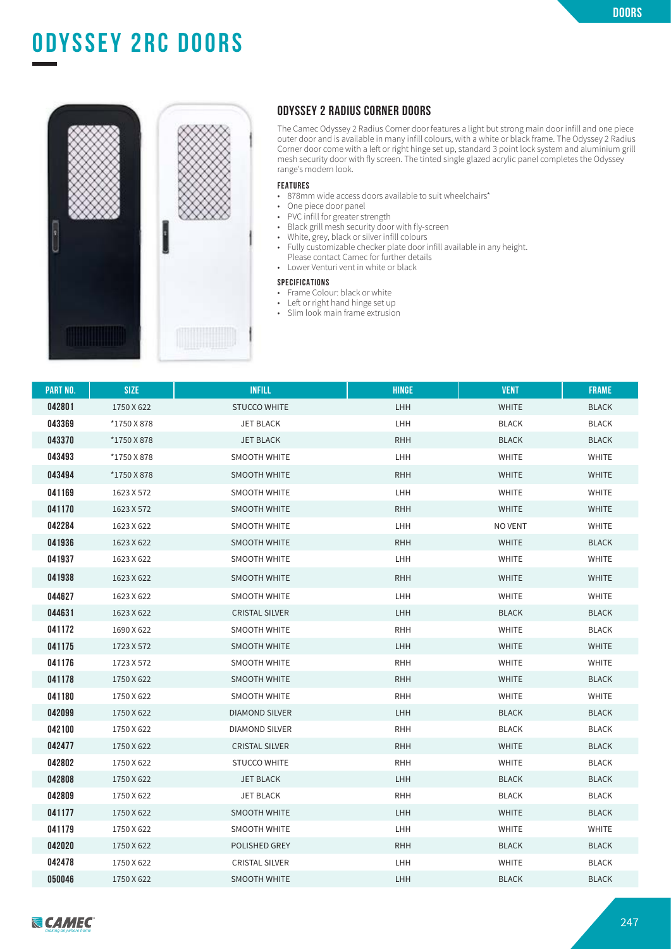# **odyssey 4sc door ODYSSEY 2RC DOORS**



#### **ODYSSEY 2 RADIUS CORNER DOORS**

The Camec Odyssey 2 Radius Corner door features a light but strong main door infill and one piece outer door and is available in many infill colours, with a white or black frame. The Odyssey 2 Radius Corner door come with a left or right hinge set up, standard 3 point lock system and aluminium grill mesh security door with fly screen. The tinted single glazed acrylic panel completes the Odyssey range's modern look.

#### **FEATURES**

- 878mm wide access doors available to suit wheelchairs\*
- One piece door panel<br>• PVC infill for greater st
- PVC infill for greater strength<br>• Black grill mesh security door
- Black grill mesh security door with fly-screen<br>• White, grey, black or silver infill colours
- White, grey, black or silver infill colours<br>• Fully customizable checker plate door i
- Fully customizable checker plate door infill available in any height. Please contact Camec for further details
- Lower Venturi vent in white or black

### **SPECIFICATIONS**

- 
- Frame Colour: black or white
- Left or right hand hinge set up
- Slim look main frame extrusion

| <b>PART NO.</b> | <b>SIZE</b> | <b>INFILL</b>         | <b>HINGE</b> | <b>VENT</b>  | <b>FRAME</b> |
|-----------------|-------------|-----------------------|--------------|--------------|--------------|
| 042801          | 1750 X 622  | <b>STUCCO WHITE</b>   | <b>LHH</b>   | <b>WHITE</b> | <b>BLACK</b> |
| 043369          | *1750 X 878 | <b>JET BLACK</b>      | LHH          | <b>BLACK</b> | <b>BLACK</b> |
| 043370          | *1750 X 878 | <b>JET BLACK</b>      | <b>RHH</b>   | <b>BLACK</b> | <b>BLACK</b> |
| 043493          | *1750 X 878 | <b>SMOOTH WHITE</b>   | <b>LHH</b>   | <b>WHITE</b> | <b>WHITE</b> |
| 043494          | *1750 X 878 | <b>SMOOTH WHITE</b>   | <b>RHH</b>   | <b>WHITE</b> | <b>WHITE</b> |
| 041169          | 1623 X 572  | <b>SMOOTH WHITE</b>   | <b>LHH</b>   | <b>WHITE</b> | <b>WHITE</b> |
| 041170          | 1623 X 572  | <b>SMOOTH WHITE</b>   | <b>RHH</b>   | <b>WHITE</b> | <b>WHITE</b> |
| 042284          | 1623 X 622  | <b>SMOOTH WHITE</b>   | LHH          | NO VENT      | <b>WHITE</b> |
| 041936          | 1623 X 622  | <b>SMOOTH WHITE</b>   | <b>RHH</b>   | <b>WHITE</b> | <b>BLACK</b> |
| 041937          | 1623 X 622  | <b>SMOOTH WHITE</b>   | <b>LHH</b>   | <b>WHITE</b> | <b>WHITE</b> |
| 041938          | 1623 X 622  | <b>SMOOTH WHITE</b>   | <b>RHH</b>   | <b>WHITE</b> | <b>WHITE</b> |
| 044627          | 1623 X 622  | <b>SMOOTH WHITE</b>   | <b>LHH</b>   | WHITE        | <b>WHITE</b> |
| 044631          | 1623 X 622  | <b>CRISTAL SILVER</b> | <b>LHH</b>   | <b>BLACK</b> | <b>BLACK</b> |
| 041172          | 1690 X 622  | <b>SMOOTH WHITE</b>   | <b>RHH</b>   | <b>WHITE</b> | <b>BLACK</b> |
| 041175          | 1723 X 572  | <b>SMOOTH WHITE</b>   | <b>LHH</b>   | <b>WHITE</b> | <b>WHITE</b> |
| 041176          | 1723 X 572  | <b>SMOOTH WHITE</b>   | <b>RHH</b>   | <b>WHITE</b> | <b>WHITE</b> |
| 041178          | 1750 X 622  | <b>SMOOTH WHITE</b>   | <b>RHH</b>   | <b>WHITE</b> | <b>BLACK</b> |
| 041180          | 1750 X 622  | <b>SMOOTH WHITE</b>   | <b>RHH</b>   | <b>WHITE</b> | <b>WHITE</b> |
| 042099          | 1750 X 622  | <b>DIAMOND SILVER</b> | <b>LHH</b>   | <b>BLACK</b> | <b>BLACK</b> |
| 042100          | 1750 X 622  | <b>DIAMOND SILVER</b> | <b>RHH</b>   | <b>BLACK</b> | <b>BLACK</b> |
| 042477          | 1750 X 622  | <b>CRISTAL SILVER</b> | <b>RHH</b>   | <b>WHITE</b> | <b>BLACK</b> |
| 042802          | 1750 X 622  | <b>STUCCO WHITE</b>   | <b>RHH</b>   | <b>WHITE</b> | <b>BLACK</b> |
| 042808          | 1750 X 622  | <b>JET BLACK</b>      | LHH          | <b>BLACK</b> | <b>BLACK</b> |
| 042809          | 1750 X 622  | JET BLACK             | <b>RHH</b>   | <b>BLACK</b> | <b>BLACK</b> |
| 041177          | 1750 X 622  | <b>SMOOTH WHITE</b>   | <b>LHH</b>   | <b>WHITE</b> | <b>BLACK</b> |
| 041179          | 1750 X 622  | <b>SMOOTH WHITE</b>   | LHH          | <b>WHITE</b> | WHITE        |
| 042020          | 1750 X 622  | POLISHED GREY         | <b>RHH</b>   | <b>BLACK</b> | <b>BLACK</b> |
| 042478          | 1750 X 622  | <b>CRISTAL SILVER</b> | LHH          | <b>WHITE</b> | <b>BLACK</b> |
| 050046          | 1750 X 622  | <b>SMOOTH WHITE</b>   | <b>LHH</b>   | <b>BLACK</b> | <b>BLACK</b> |

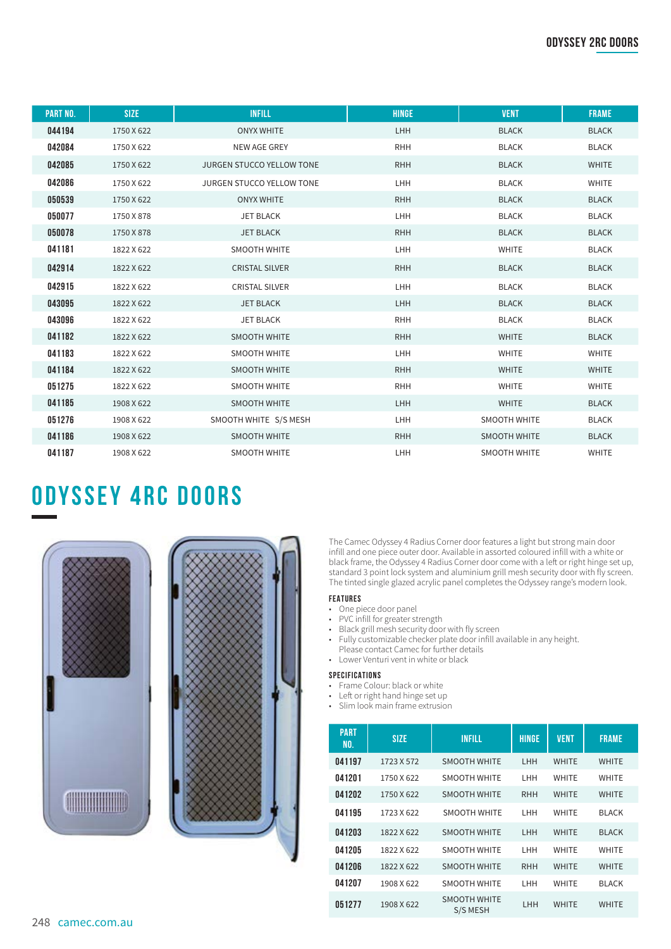| <b>PART NO.</b> | <b>SIZE</b> | <b>INFILL</b>                    | <b>HINGE</b> | <b>VENT</b>         | <b>FRAME</b> |
|-----------------|-------------|----------------------------------|--------------|---------------------|--------------|
| 044194          | 1750 X 622  | <b>ONYX WHITE</b>                | <b>LHH</b>   | <b>BLACK</b>        | <b>BLACK</b> |
| 042084          | 1750 X 622  | NEW AGE GREY                     | <b>RHH</b>   | <b>BLACK</b>        | <b>BLACK</b> |
| 042085          | 1750 X 622  | JURGEN STUCCO YELLOW TONE        | <b>RHH</b>   | <b>BLACK</b>        | <b>WHITE</b> |
| 042086          | 1750 X 622  | <b>JURGEN STUCCO YELLOW TONE</b> | <b>LHH</b>   | <b>BLACK</b>        | <b>WHITE</b> |
| 050539          | 1750 X 622  | <b>ONYX WHITE</b>                | <b>RHH</b>   | <b>BLACK</b>        | <b>BLACK</b> |
| 050077          | 1750 X 878  | <b>JET BLACK</b>                 | LHH          | <b>BLACK</b>        | <b>BLACK</b> |
| 050078          | 1750 X 878  | <b>JET BLACK</b>                 | <b>RHH</b>   | <b>BLACK</b>        | <b>BLACK</b> |
| 041181          | 1822 X 622  | <b>SMOOTH WHITE</b>              | LHH          | <b>WHITE</b>        | <b>BLACK</b> |
| 042914          | 1822 X 622  | <b>CRISTAL SILVER</b>            | <b>RHH</b>   | <b>BLACK</b>        | <b>BLACK</b> |
| 042915          | 1822 X 622  | <b>CRISTAL SILVER</b>            | LHH          | <b>BLACK</b>        | <b>BLACK</b> |
| 043095          | 1822 X 622  | <b>JET BLACK</b>                 | <b>LHH</b>   | <b>BLACK</b>        | <b>BLACK</b> |
| 043096          | 1822 X 622  | <b>JET BLACK</b>                 | <b>RHH</b>   | <b>BLACK</b>        | <b>BLACK</b> |
| 041182          | 1822 X 622  | <b>SMOOTH WHITE</b>              | <b>RHH</b>   | <b>WHITE</b>        | <b>BLACK</b> |
| 041183          | 1822 X 622  | <b>SMOOTH WHITE</b>              | LHH          | <b>WHITE</b>        | <b>WHITE</b> |
| 041184          | 1822 X 622  | <b>SMOOTH WHITE</b>              | <b>RHH</b>   | <b>WHITE</b>        | <b>WHITE</b> |
| 051275          | 1822 X 622  | <b>SMOOTH WHITE</b>              | <b>RHH</b>   | <b>WHITE</b>        | <b>WHITE</b> |
| 041185          | 1908 X 622  | <b>SMOOTH WHITE</b>              | LHH          | <b>WHITE</b>        | <b>BLACK</b> |
| 051276          | 1908 X 622  | SMOOTH WHITE S/S MESH            | <b>LHH</b>   | <b>SMOOTH WHITE</b> | <b>BLACK</b> |
| 041186          | 1908 X 622  | <b>SMOOTH WHITE</b>              | <b>RHH</b>   | <b>SMOOTH WHITE</b> | <b>BLACK</b> |
| 041187          | 1908 X 622  | <b>SMOOTH WHITE</b>              | LHH          | <b>SMOOTH WHITE</b> | <b>WHITE</b> |

### **ODYSSEY 4RC DOORS**





The Camec Odyssey 4 Radius Corner door features a light but strong main door infill and one piece outer door. Available in assorted coloured infill with a white or black frame, the Odyssey 4 Radius Corner door come with a left or right hinge set up, standard 3 point lock system and aluminium grill mesh security door with fly screen. The tinted single glazed acrylic panel completes the Odyssey range's modern look.

#### **FEATURES**

- One piece door panel
- PVC infill for greater strength
- Black grill mesh security door with fly screen
- Fully customizable checker plate door infill available in any height. Please contact Camec for further details
- Lower Venturi vent in white or black

#### **SPECIFICATIONS**

- Frame Colour: black or white
- Left or right hand hinge set up
- Slim look main frame extrusion

| <b>PART</b><br>NO. | <b>SIZE</b> | <b>INFILL</b>                   | <b>HINGE</b> | <b>VENT</b>  | <b>FRAME</b> |
|--------------------|-------------|---------------------------------|--------------|--------------|--------------|
| 041197             | 1723 X 572  | <b>SMOOTH WHITE</b>             | LHH          | <b>WHITE</b> | <b>WHITE</b> |
| 041201             | 1750 X 622  | <b>SMOOTH WHITE</b>             | LHH          | <b>WHITE</b> | <b>WHITE</b> |
| 041202             | 1750 X 622  | <b>SMOOTH WHITE</b>             | <b>RHH</b>   | <b>WHITE</b> | <b>WHITE</b> |
| 041195             | 1723 X 622  | <b>SMOOTH WHITE</b>             | LHH          | <b>WHITE</b> | <b>BLACK</b> |
| 041203             | 1822 X 622  | <b>SMOOTH WHITE</b>             | LHH          | <b>WHITE</b> | <b>BLACK</b> |
| 041205             | 1822 X 622  | <b>SMOOTH WHITE</b>             | LHH          | <b>WHITE</b> | <b>WHITE</b> |
| 041206             | 1822 X 622  | <b>SMOOTH WHITE</b>             | <b>RHH</b>   | <b>WHITE</b> | <b>WHITE</b> |
| 041207             | 1908 X 622  | <b>SMOOTH WHITE</b>             | LHH          | <b>WHITE</b> | <b>BLACK</b> |
| 051277             | 1908 X 622  | <b>SMOOTH WHITE</b><br>S/S MESH | LHH          | <b>WHITE</b> | <b>WHITE</b> |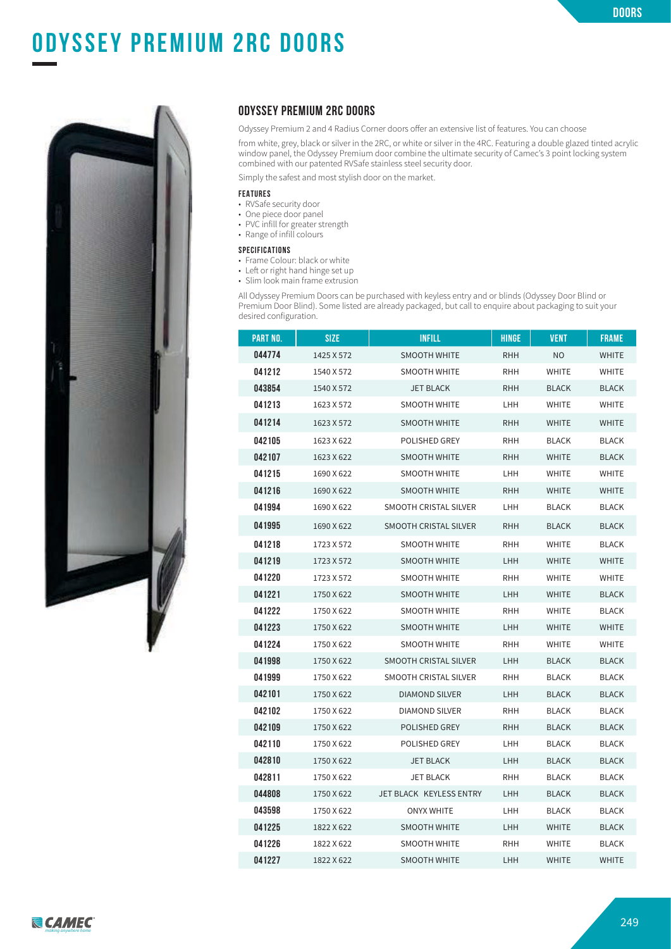

# **odyssey 2rc doors ODYSSEY PREMIUM 2RC DOORS**



#### **ODYSSEY PREMIUM 2RC DOORS**

Odyssey Premium 2 and 4 Radius Corner doors offer an extensive list of features. You can choose

from white, grey, black or silver in the 2RC, or white or silver in the 4RC. Featuring a double glazed tinted acrylic window panel, the Odyssey Premium door combine the ultimate security of Camec's 3 point locking system combined with our patented RVSafe stainless steel security door.

Simply the safest and most stylish door on the market.

#### **FEATURES**

- RVSafe security door
- One piece door panel
- PVC infill for greater strength • Range of infill colours
- 

#### **SPECIFICATIONS**

- Frame Colour: black or white
- Left or right hand hinge set up • Slim look main frame extrusion

All Odyssey Premium Doors can be purchased with keyless entry and or blinds (Odyssey Door Blind or Premium Door Blind). Some listed are already packaged, but call to enquire about packaging to suit your desired configuration.

| PART NO. | <b>SIZE</b> | <b>INFILL</b>           | HINGE      | <b>VENT</b>  | <b>FRAME</b> |
|----------|-------------|-------------------------|------------|--------------|--------------|
| 044774   | 1425 X 572  | <b>SMOOTH WHITE</b>     | <b>RHH</b> | NO           | <b>WHITE</b> |
| 041212   | 1540 X 572  | <b>SMOOTH WHITE</b>     | <b>RHH</b> | <b>WHITE</b> | <b>WHITE</b> |
| 043854   | 1540 X 572  | <b>JET BLACK</b>        | <b>RHH</b> | <b>BLACK</b> | <b>BLACK</b> |
| 041213   | 1623 X 572  | SMOOTH WHITE            | LHH        | <b>WHITE</b> | WHITE        |
| 041214   | 1623 X 572  | SMOOTH WHITE            | <b>RHH</b> | <b>WHITE</b> | <b>WHITE</b> |
| 042105   | 1623 X 622  | POLISHED GREY           | <b>RHH</b> | BLACK        | <b>BLACK</b> |
| 042107   | 1623 X 622  | <b>SMOOTH WHITE</b>     | <b>RHH</b> | <b>WHITE</b> | <b>BLACK</b> |
| 041215   | 1690 X 622  | <b>SMOOTH WHITE</b>     | LHH        | <b>WHITE</b> | WHITE        |
| 041216   | 1690 X 622  | <b>SMOOTH WHITE</b>     | <b>RHH</b> | <b>WHITE</b> | <b>WHITE</b> |
| 041994   | 1690 X 622  | SMOOTH CRISTAL SILVER   | LHH        | BLACK        | <b>BLACK</b> |
| 041995   | 1690 X 622  | SMOOTH CRISTAL SILVER   | <b>RHH</b> | <b>BLACK</b> | <b>BLACK</b> |
| 041218   | 1723 X 572  | <b>SMOOTH WHITE</b>     | RHH        | <b>WHITE</b> | <b>BLACK</b> |
| 041219   | 1723 X 572  | <b>SMOOTH WHITE</b>     | LHH        | <b>WHITE</b> | <b>WHITE</b> |
| 041220   | 1723 X 572  | <b>SMOOTH WHITE</b>     | RHH        | <b>WHITE</b> | WHITE        |
| 041221   | 1750 X 622  | <b>SMOOTH WHITE</b>     | LHH        | <b>WHITE</b> | <b>BLACK</b> |
| 041222   | 1750 X 622  | <b>SMOOTH WHITE</b>     | <b>RHH</b> | <b>WHITE</b> | <b>BLACK</b> |
| 041223   | 1750 X 622  | SMOOTH WHITE            | LHH        | <b>WHITE</b> | <b>WHITE</b> |
| 041224   | 1750 X 622  | <b>SMOOTH WHITE</b>     | RHH        | <b>WHITE</b> | WHITE        |
| 041998   | 1750 X 622  | SMOOTH CRISTAL SILVER   | LHH        | <b>BLACK</b> | <b>BLACK</b> |
| 041999   | 1750 X 622  | SMOOTH CRISTAL SILVER   | RHH        | BLACK        | <b>BLACK</b> |
| 042101   | 1750 X 622  | <b>DIAMOND SILVER</b>   | LHH        | <b>BLACK</b> | <b>BLACK</b> |
| 042102   | 1750 X 622  | DIAMOND SILVER          | <b>RHH</b> | <b>BLACK</b> | <b>BLACK</b> |
| 042109   | 1750 X 622  | POLISHED GREY           | <b>RHH</b> | <b>BLACK</b> | <b>BLACK</b> |
| 042110   | 1750 X 622  | POLISHED GREY           | LHH        | BLACK        | <b>BLACK</b> |
| 042810   | 1750 X 622  | <b>JET BLACK</b>        | LHH        | <b>BLACK</b> | <b>BLACK</b> |
| 042811   | 1750 X 622  | <b>JET BLACK</b>        | RHH        | BLACK        | <b>BLACK</b> |
| 044808   | 1750 X 622  | JET BLACK KEYLESS ENTRY | LHH        | <b>BLACK</b> | <b>BLACK</b> |
| 043598   | 1750 X 622  | <b>ONYX WHITE</b>       | LHH        | BLACK        | <b>BLACK</b> |
| 041225   | 1822 X 622  | <b>SMOOTH WHITE</b>     | LHH        | <b>WHITE</b> | <b>BLACK</b> |
| 041226   | 1822 X 622  | SMOOTH WHITE            | <b>RHH</b> | WHITE        | <b>BLACK</b> |
| 041227   | 1822 X 622  | <b>SMOOTH WHITE</b>     | LHH        | <b>WHITE</b> | <b>WHITE</b> |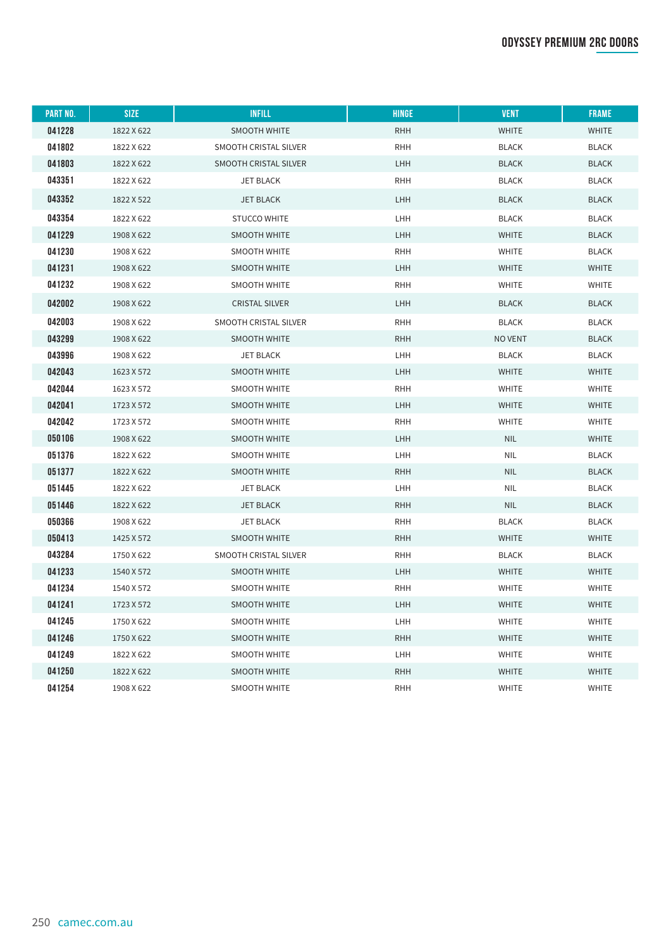### **odyssey premium 2rc doors**

| PART NO. | <b>SIZE</b> | <b>INFILL</b>         | <b>HINGE</b> | <b>VENT</b>   | <b>FRAME</b> |
|----------|-------------|-----------------------|--------------|---------------|--------------|
| 041228   | 1822 X 622  | SMOOTH WHITE          | <b>RHH</b>   | <b>WHITE</b>  | <b>WHITE</b> |
| 041802   | 1822 X 622  | SMOOTH CRISTAL SILVER | <b>RHH</b>   | <b>BLACK</b>  | <b>BLACK</b> |
| 041803   | 1822 X 622  | SMOOTH CRISTAL SILVER | LHH          | <b>BLACK</b>  | <b>BLACK</b> |
| 043351   | 1822 X 622  | <b>JET BLACK</b>      | <b>RHH</b>   | <b>BLACK</b>  | <b>BLACK</b> |
| 043352   | 1822 X 522  | <b>JET BLACK</b>      | <b>LHH</b>   | <b>BLACK</b>  | <b>BLACK</b> |
| 043354   | 1822 X 622  | <b>STUCCO WHITE</b>   | LHH          | <b>BLACK</b>  | <b>BLACK</b> |
| 041229   | 1908 X 622  | <b>SMOOTH WHITE</b>   | LHH          | <b>WHITE</b>  | <b>BLACK</b> |
| 041230   | 1908 X 622  | <b>SMOOTH WHITE</b>   | <b>RHH</b>   | WHITE         | <b>BLACK</b> |
| 041231   | 1908 X 622  | <b>SMOOTH WHITE</b>   | LHH          | <b>WHITE</b>  | <b>WHITE</b> |
| 041232   | 1908 X 622  | <b>SMOOTH WHITE</b>   | <b>RHH</b>   | WHITE         | <b>WHITE</b> |
| 042002   | 1908 X 622  | <b>CRISTAL SILVER</b> | <b>LHH</b>   | <b>BLACK</b>  | <b>BLACK</b> |
| 042003   | 1908 X 622  | SMOOTH CRISTAL SILVER | <b>RHH</b>   | <b>BLACK</b>  | <b>BLACK</b> |
| 043299   | 1908 X 622  | SMOOTH WHITE          | <b>RHH</b>   | <b>NOVENT</b> | <b>BLACK</b> |
| 043996   | 1908 X 622  | <b>JET BLACK</b>      | LHH          | <b>BLACK</b>  | <b>BLACK</b> |
| 042043   | 1623 X 572  | <b>SMOOTH WHITE</b>   | LHH          | <b>WHITE</b>  | <b>WHITE</b> |
| 042044   | 1623 X 572  | <b>SMOOTH WHITE</b>   | <b>RHH</b>   | <b>WHITE</b>  | <b>WHITE</b> |
| 042041   | 1723 X 572  | <b>SMOOTH WHITE</b>   | LHH          | <b>WHITE</b>  | <b>WHITE</b> |
| 042042   | 1723 X 572  | <b>SMOOTH WHITE</b>   | <b>RHH</b>   | <b>WHITE</b>  | <b>WHITE</b> |
| 050106   | 1908 X 622  | SMOOTH WHITE          | LHH          | <b>NIL</b>    | <b>WHITE</b> |
| 051376   | 1822 X 622  | <b>SMOOTH WHITE</b>   | <b>LHH</b>   | <b>NIL</b>    | <b>BLACK</b> |
| 051377   | 1822 X 622  | <b>SMOOTH WHITE</b>   | <b>RHH</b>   | <b>NIL</b>    | <b>BLACK</b> |
| 051445   | 1822 X 622  | <b>JET BLACK</b>      | <b>LHH</b>   | <b>NIL</b>    | <b>BLACK</b> |
| 051446   | 1822 X 622  | <b>JET BLACK</b>      | <b>RHH</b>   | <b>NIL</b>    | <b>BLACK</b> |
| 050366   | 1908 X 622  | <b>JET BLACK</b>      | <b>RHH</b>   | <b>BLACK</b>  | <b>BLACK</b> |
| 050413   | 1425 X 572  | <b>SMOOTH WHITE</b>   | <b>RHH</b>   | <b>WHITE</b>  | <b>WHITE</b> |
| 043284   | 1750 X 622  | SMOOTH CRISTAL SILVER | <b>RHH</b>   | <b>BLACK</b>  | <b>BLACK</b> |
| 041233   | 1540 X 572  | SMOOTH WHITE          | LHH          | <b>WHITE</b>  | <b>WHITE</b> |
| 041234   | 1540 X 572  | <b>SMOOTH WHITE</b>   | <b>RHH</b>   | WHITE         | WHITE        |
| 041241   | 1723 X 572  | <b>SMOOTH WHITE</b>   | LHH          | <b>WHITE</b>  | <b>WHITE</b> |
| 041245   | 1750 X 622  | <b>SMOOTH WHITE</b>   | LHH          | WHITE         | WHITE        |
| 041246   | 1750 X 622  | <b>SMOOTH WHITE</b>   | <b>RHH</b>   | <b>WHITE</b>  | <b>WHITE</b> |
| 041249   | 1822 X 622  | <b>SMOOTH WHITE</b>   | LHH          | <b>WHITE</b>  | <b>WHITE</b> |
| 041250   | 1822 X 622  | <b>SMOOTH WHITE</b>   | <b>RHH</b>   | <b>WHITE</b>  | WHITE        |
| 041254   | 1908 X 622  | <b>SMOOTH WHITE</b>   | <b>RHH</b>   | WHITE         | <b>WHITE</b> |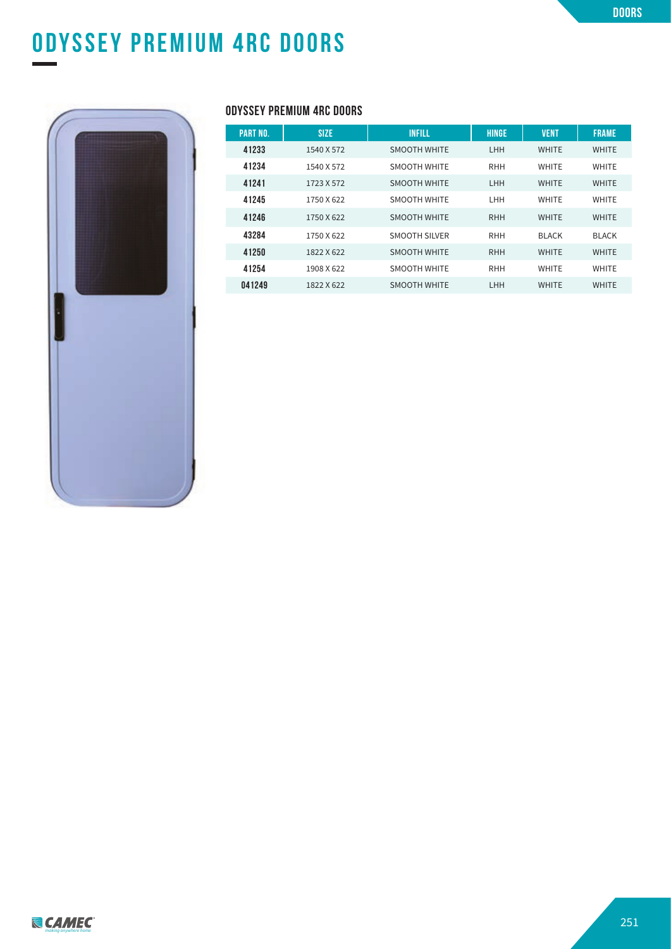# **odyssey premium 2rc doors ODYSSEY PREMIUM 4RC DOORS**



### **ODYSSEY PREMIUM 4RC DOORS**

| <b>PART NO.</b> | <b>SIZE</b> | <b>INFILL</b>        | <b>HINGE</b> | <b>VENT</b>  | <b>FRAME</b> |
|-----------------|-------------|----------------------|--------------|--------------|--------------|
| 41233           | 1540 X 572  | <b>SMOOTH WHITE</b>  | <b>LHH</b>   | <b>WHITE</b> | <b>WHITE</b> |
| 41234           | 1540 X 572  | <b>SMOOTH WHITE</b>  | <b>RHH</b>   | <b>WHITE</b> | <b>WHITE</b> |
| 41241           | 1723 X 572  | <b>SMOOTH WHITE</b>  | <b>LHH</b>   | <b>WHITE</b> | <b>WHITE</b> |
| 41245           | 1750 X 622  | <b>SMOOTH WHITE</b>  | LHH          | <b>WHITE</b> | <b>WHITE</b> |
| 41246           | 1750 X 622  | <b>SMOOTH WHITE</b>  | <b>RHH</b>   | <b>WHITE</b> | <b>WHITE</b> |
| 43284           | 1750 X 622  | <b>SMOOTH SILVER</b> | <b>RHH</b>   | <b>BLACK</b> | <b>BLACK</b> |
| 41250           | 1822 X 622  | <b>SMOOTH WHITE</b>  | <b>RHH</b>   | <b>WHITE</b> | <b>WHITE</b> |
| 41254           | 1908 X 622  | <b>SMOOTH WHITE</b>  | <b>RHH</b>   | <b>WHITE</b> | <b>WHITE</b> |
| 041249          | 1822 X 622  | <b>SMOOTH WHITE</b>  | LHH          | <b>WHITE</b> | <b>WHITE</b> |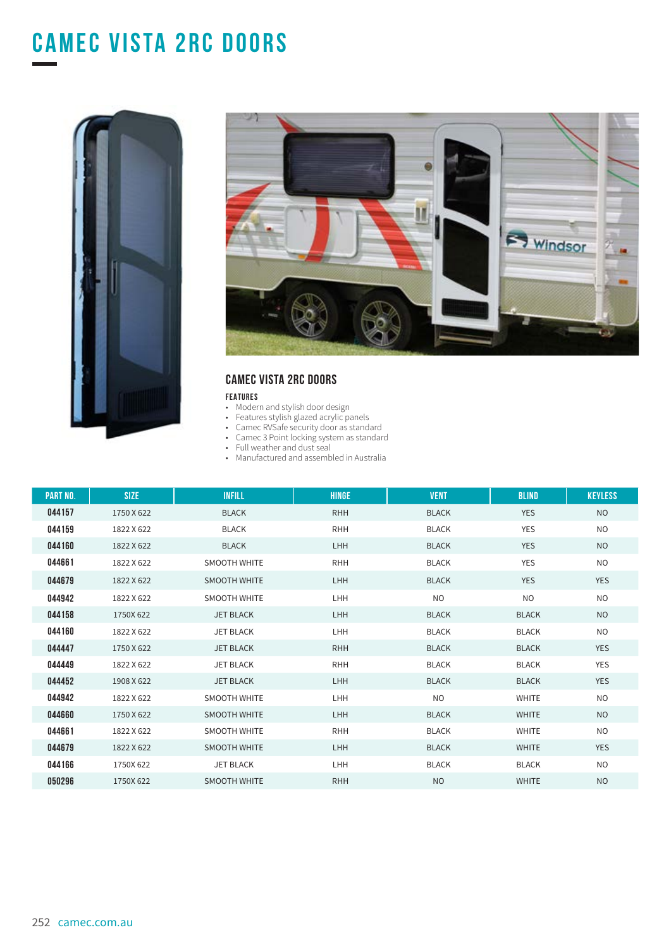# **CAMEC VISTA 2RC DOORs**





### **CAMEC VISTA 2RC DOORS**

#### **FEATURES**

- Modern and stylish door design
- Features stylish glazed acrylic panels
- Camec RVSafe security door as standard
- Camec 3 Point locking system as standard
- Full weather and dust seal
- Manufactured and assembled in Australia

| <b>PART NO.</b> | <b>SIZE</b> | <b>INFILL</b>       | <b>HINGE</b> | <b>VENT</b>  | <b>BLIND</b> | <b>KEYLESS</b> |
|-----------------|-------------|---------------------|--------------|--------------|--------------|----------------|
| 044157          | 1750 X 622  | <b>BLACK</b>        | <b>RHH</b>   | <b>BLACK</b> | <b>YES</b>   | <b>NO</b>      |
| 044159          | 1822 X 622  | <b>BLACK</b>        | <b>RHH</b>   | <b>BLACK</b> | <b>YES</b>   | <b>NO</b>      |
| 044160          | 1822 X 622  | <b>BLACK</b>        | <b>LHH</b>   | <b>BLACK</b> | <b>YES</b>   | <b>NO</b>      |
| 044661          | 1822 X 622  | <b>SMOOTH WHITE</b> | <b>RHH</b>   | <b>BLACK</b> | <b>YES</b>   | N <sub>O</sub> |
| 044679          | 1822 X 622  | <b>SMOOTH WHITE</b> | <b>LHH</b>   | <b>BLACK</b> | <b>YES</b>   | <b>YES</b>     |
| 044942          | 1822 X 622  | <b>SMOOTH WHITE</b> | <b>LHH</b>   | <b>NO</b>    | <b>NO</b>    | <b>NO</b>      |
| 044158          | 1750X 622   | <b>JET BLACK</b>    | <b>LHH</b>   | <b>BLACK</b> | <b>BLACK</b> | <b>NO</b>      |
| 044160          | 1822 X 622  | <b>JET BLACK</b>    | <b>LHH</b>   | <b>BLACK</b> | <b>BLACK</b> | <b>NO</b>      |
| 044447          | 1750 X 622  | <b>JET BLACK</b>    | <b>RHH</b>   | <b>BLACK</b> | <b>BLACK</b> | <b>YES</b>     |
| 044449          | 1822 X 622  | <b>JET BLACK</b>    | <b>RHH</b>   | <b>BLACK</b> | <b>BLACK</b> | <b>YES</b>     |
| 044452          | 1908 X 622  | <b>JET BLACK</b>    | <b>LHH</b>   | <b>BLACK</b> | <b>BLACK</b> | <b>YES</b>     |
| 044942          | 1822 X 622  | <b>SMOOTH WHITE</b> | <b>LHH</b>   | <b>NO</b>    | <b>WHITE</b> | NO.            |
| 044660          | 1750 X 622  | <b>SMOOTH WHITE</b> | <b>LHH</b>   | <b>BLACK</b> | <b>WHITE</b> | <b>NO</b>      |
| 044661          | 1822 X 622  | <b>SMOOTH WHITE</b> | <b>RHH</b>   | <b>BLACK</b> | <b>WHITE</b> | <b>NO</b>      |
| 044679          | 1822 X 622  | <b>SMOOTH WHITE</b> | <b>LHH</b>   | <b>BLACK</b> | <b>WHITE</b> | <b>YES</b>     |
| 044166          | 1750X 622   | <b>JET BLACK</b>    | <b>LHH</b>   | <b>BLACK</b> | <b>BLACK</b> | <b>NO</b>      |
| 050296          | 1750X 622   | <b>SMOOTH WHITE</b> | <b>RHH</b>   | <b>NO</b>    | <b>WHITE</b> | <b>NO</b>      |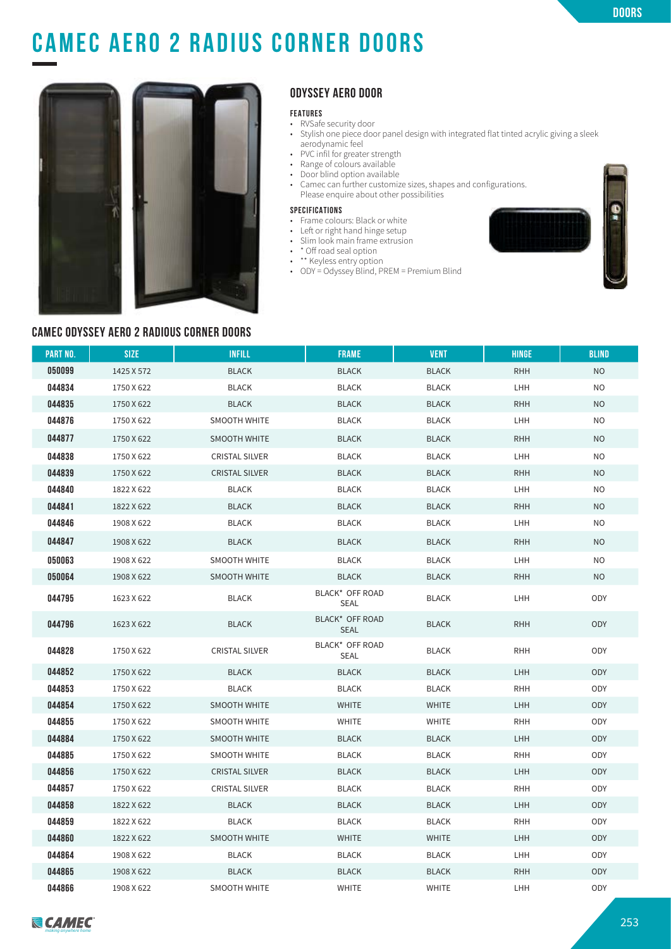# **CAMEC AERO 2 RADIUS CORNER DOORs**



### **ODYSSEY AERO DOOR**

#### **FEATURES**

- RVSafe security door
- Stylish one piece door panel design with integrated flat tinted acrylic giving a sleek aerodynamic feel
- PVC infil for greater strength
- Range of colours available
- Door blind option available
- Camec can further customize sizes, shapes and configurations. Please enquire about other possibilities

#### **SPECIFICATIONS**

- Frame colours: Black or white
- Left or right hand hinge setup
- Slim look main frame extrusion
- \* Off road seal option
- \*\* Keyless entry option
- ODY = Odyssey Blind, PREM = Premium Blind



#### **CAMEC ODYSSEY AERO 2 RADIOUS CORNER DOORS**

| <b>PART NO.</b> | <b>SIZE</b> | <b>INFILL</b>         | <b>FRAME</b>                   | <b>VENT</b>  | <b>HINGE</b> | <b>BLIND</b>   |
|-----------------|-------------|-----------------------|--------------------------------|--------------|--------------|----------------|
| 050099          | 1425 X 572  | <b>BLACK</b>          | <b>BLACK</b>                   | <b>BLACK</b> | <b>RHH</b>   | <b>NO</b>      |
| 044834          | 1750 X 622  | <b>BLACK</b>          | <b>BLACK</b>                   | <b>BLACK</b> | LHH          | N <sub>O</sub> |
| 044835          | 1750 X 622  | <b>BLACK</b>          | <b>BLACK</b>                   | <b>BLACK</b> | <b>RHH</b>   | N <sub>O</sub> |
| 044876          | 1750 X 622  | SMOOTH WHITE          | <b>BLACK</b>                   | <b>BLACK</b> | LHH          | NO             |
| 044877          | 1750 X 622  | <b>SMOOTH WHITE</b>   | <b>BLACK</b>                   | <b>BLACK</b> | <b>RHH</b>   | <b>NO</b>      |
| 044838          | 1750 X 622  | <b>CRISTAL SILVER</b> | <b>BLACK</b>                   | <b>BLACK</b> | LHH          | NO             |
| 044839          | 1750 X 622  | <b>CRISTAL SILVER</b> | <b>BLACK</b>                   | <b>BLACK</b> | <b>RHH</b>   | <b>NO</b>      |
| 044840          | 1822 X 622  | <b>BLACK</b>          | <b>BLACK</b>                   | <b>BLACK</b> | LHH          | N <sub>O</sub> |
| 044841          | 1822 X 622  | <b>BLACK</b>          | <b>BLACK</b>                   | <b>BLACK</b> | <b>RHH</b>   | N <sub>O</sub> |
| 044846          | 1908 X 622  | <b>BLACK</b>          | <b>BLACK</b>                   | <b>BLACK</b> | LHH          | NO             |
| 044847          | 1908 X 622  | <b>BLACK</b>          | <b>BLACK</b>                   | <b>BLACK</b> | <b>RHH</b>   | <b>NO</b>      |
| 050063          | 1908 X 622  | <b>SMOOTH WHITE</b>   | <b>BLACK</b>                   | <b>BLACK</b> | LHH          | NO.            |
| 050064          | 1908 X 622  | <b>SMOOTH WHITE</b>   | <b>BLACK</b>                   | <b>BLACK</b> | <b>RHH</b>   | N <sub>O</sub> |
| 044795          | 1623 X 622  | <b>BLACK</b>          | BLACK* OFF ROAD<br>SEAL        | <b>BLACK</b> | LHH          | ODY            |
| 044796          | 1623 X 622  | <b>BLACK</b>          | BLACK* OFF ROAD<br><b>SEAL</b> | <b>BLACK</b> | <b>RHH</b>   | ODY            |
| 044828          | 1750 X 622  | <b>CRISTAL SILVER</b> | BLACK* OFF ROAD<br>SEAL        | <b>BLACK</b> | <b>RHH</b>   | ODY            |
| 044852          | 1750 X 622  | <b>BLACK</b>          | <b>BLACK</b>                   | <b>BLACK</b> | LHH          | ODY            |
| 044853          | 1750 X 622  | <b>BLACK</b>          | <b>BLACK</b>                   | <b>BLACK</b> | <b>RHH</b>   | ODY            |
| 044854          | 1750 X 622  | <b>SMOOTH WHITE</b>   | <b>WHITE</b>                   | <b>WHITE</b> | LHH          | ODY            |
| 044855          | 1750 X 622  | SMOOTH WHITE          | WHITE                          | WHITE        | RHH          | ODY            |
| 044884          | 1750 X 622  | SMOOTH WHITE          | <b>BLACK</b>                   | <b>BLACK</b> | LHH          | ODY            |
| 044885          | 1750 X 622  | SMOOTH WHITE          | BLACK                          | <b>BLACK</b> | <b>RHH</b>   | ODY            |
| 044856          | 1750 X 622  | <b>CRISTAL SILVER</b> | <b>BLACK</b>                   | <b>BLACK</b> | LHH          | ODY            |
| 044857          | 1750 X 622  | CRISTAL SILVER        | BLACK                          | BLACK        | RHH          | ODY            |
| 044858          | 1822 X 622  | <b>BLACK</b>          | <b>BLACK</b>                   | <b>BLACK</b> | LHH          | ODY            |
| 044859          | 1822 X 622  | <b>BLACK</b>          | <b>BLACK</b>                   | <b>BLACK</b> | <b>RHH</b>   | ODY            |
| 044860          | 1822 X 622  | <b>SMOOTH WHITE</b>   | <b>WHITE</b>                   | <b>WHITE</b> | LHH          | ODY            |
| 044864          | 1908 X 622  | <b>BLACK</b>          | BLACK                          | <b>BLACK</b> | LHH          | ODY            |
| 044865          | 1908 X 622  | <b>BLACK</b>          | <b>BLACK</b>                   | <b>BLACK</b> | <b>RHH</b>   | ODY            |
| 044866          | 1908 X 622  | <b>SMOOTH WHITE</b>   | <b>WHITE</b>                   | <b>WHITE</b> | LHH          | ODY            |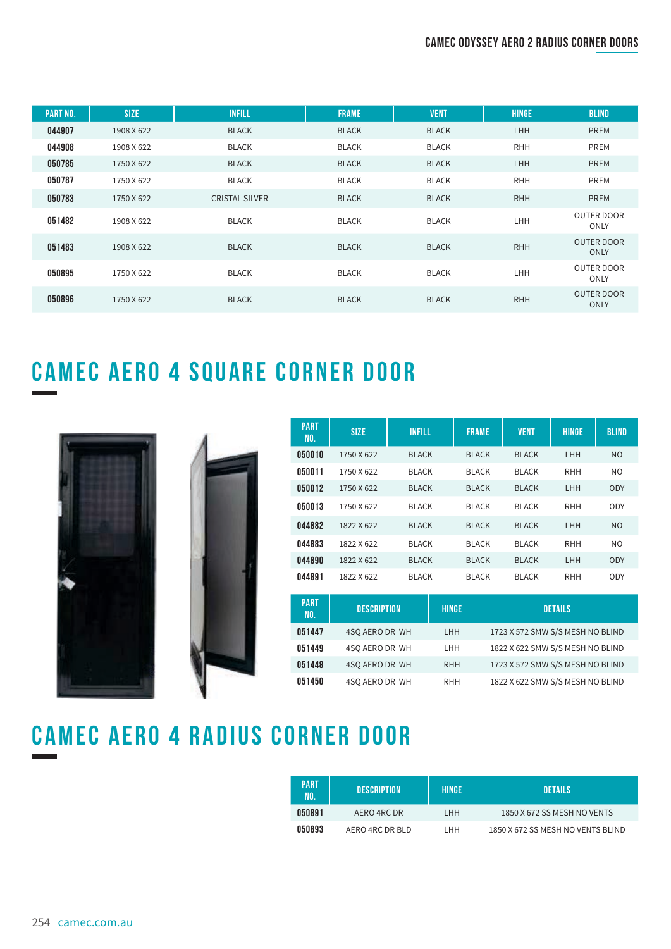### **CAMEC ODYSSEY AERO 2 RADIUS CORNER DOORs**

| <b>PART NO.</b> | <b>SIZE</b> | <b>INFILL</b>         | <b>FRAME</b> | <b>VENT</b>  | <b>HINGE</b> | <b>BLIND</b>                     |
|-----------------|-------------|-----------------------|--------------|--------------|--------------|----------------------------------|
| 044907          | 1908 X 622  | <b>BLACK</b>          | <b>BLACK</b> | <b>BLACK</b> | LHH          | <b>PREM</b>                      |
| 044908          | 1908 X 622  | <b>BLACK</b>          | <b>BLACK</b> | <b>BLACK</b> | <b>RHH</b>   | PREM                             |
| 050785          | 1750 X 622  | <b>BLACK</b>          | <b>BLACK</b> | <b>BLACK</b> | <b>LHH</b>   | <b>PREM</b>                      |
| 050787          | 1750 X 622  | <b>BLACK</b>          | <b>BLACK</b> | <b>BLACK</b> | <b>RHH</b>   | PREM                             |
| 050783          | 1750 X 622  | <b>CRISTAL SILVER</b> | <b>BLACK</b> | <b>BLACK</b> | <b>RHH</b>   | <b>PREM</b>                      |
| 051482          | 1908 X 622  | <b>BLACK</b>          | <b>BLACK</b> | <b>BLACK</b> | LHH          | <b>OUTER DOOR</b><br>ONLY        |
| 051483          | 1908 X 622  | <b>BLACK</b>          | <b>BLACK</b> | <b>BLACK</b> | <b>RHH</b>   | <b>OUTER DOOR</b><br><b>ONLY</b> |
| 050895          | 1750 X 622  | <b>BLACK</b>          | <b>BLACK</b> | <b>BLACK</b> | LHH          | <b>OUTER DOOR</b><br><b>ONLY</b> |
| 050896          | 1750 X 622  | <b>BLACK</b>          | <b>BLACK</b> | <b>BLACK</b> | <b>RHH</b>   | <b>OUTER DOOR</b><br><b>ONLY</b> |

# **CAMEC AERO 4 SQUARE CORNER DOOR**





| <b>PART</b><br>NO. | <b>SIZE</b> | <b>INFILL</b> | <b>FRAME</b> | <b>VENT</b>  | <b>HINGE</b> | <b>BLIND</b>   |
|--------------------|-------------|---------------|--------------|--------------|--------------|----------------|
| 050010             | 1750 X 622  | <b>BLACK</b>  | <b>BLACK</b> | <b>BLACK</b> | LHH          | <b>NO</b>      |
| 050011             | 1750 X 622  | <b>BLACK</b>  | <b>BLACK</b> | <b>BLACK</b> | <b>RHH</b>   | NO.            |
| 050012             | 1750 X 622  | <b>BLACK</b>  | <b>BLACK</b> | <b>BLACK</b> | <b>LHH</b>   | ODY            |
| 050013             | 1750 X 622  | <b>BLACK</b>  | <b>BLACK</b> | <b>BLACK</b> | <b>RHH</b>   | ODY            |
| 044882             | 1822 X 622  | <b>BLACK</b>  | <b>BLACK</b> | <b>BLACK</b> | LHH          | N <sub>O</sub> |
| 044883             | 1822 X 622  | <b>BLACK</b>  | <b>BLACK</b> | <b>BLACK</b> | <b>RHH</b>   | NO.            |
| 044890             | 1822 X 622  | <b>BLACK</b>  | <b>BLACK</b> | <b>BLACK</b> | <b>LHH</b>   | ODY            |
| 044891             | 1822 X 622  | <b>BLACK</b>  | <b>BLACK</b> | <b>BLACK</b> | <b>RHH</b>   | ODY            |

| <b>PART</b><br>NO. | <b>DESCRIPTION</b> | <b>HINGE</b> | <b>DETAILS</b>                   |
|--------------------|--------------------|--------------|----------------------------------|
| 051447             | 4SO AERO DR WH     | <b>LHH</b>   | 1723 X 572 SMW S/S MESH NO BLIND |
| 051449             | 4SO AERO DR WH     | LHH.         | 1822 X 622 SMW S/S MESH NO BLIND |
| 051448             | 4SO AERO DR WH     | <b>RHH</b>   | 1723 X 572 SMW S/S MESH NO BLIND |
| 051450             | 4SO AERO DR WH     | <b>RHH</b>   | 1822 X 622 SMW S/S MESH NO BLIND |

# **CAMEC AERO 4 radius corner DOOR**

| <b>PART</b><br>NO. | DESCRIPTION     | HINGE | <b>DETAILS</b>                    |
|--------------------|-----------------|-------|-----------------------------------|
| 050891             | AERO 4RC DR     | I HH  | 1850 X 672 SS MESH NO VENTS       |
| 050893             | AERO 4RC DR BLD | I HH  | 1850 X 672 SS MESH NO VENTS BLIND |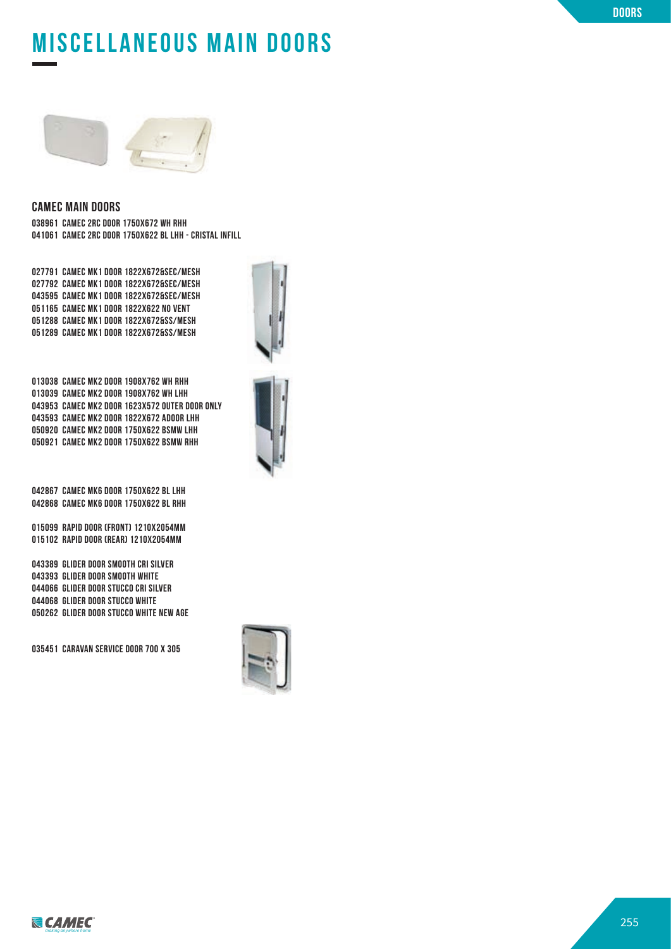# **CAMEC ODYSSEY AERO 2 RADIUS CORNER DOORs miscellaneous main doors**



#### **CAMEC MAIN DOORS**

**038961 CAMEC 2RC DOOR 1750X672 WH RHH 041061 CAMEC 2RC DOOR 1750X622 BL LHH - CRISTAL INFILL**

**027791 CAMEC MK1 DOOR 1822X672&SEC/MESH 027792 CAMEC MK1 DOOR 1822X672&SEC/MESH 043595 CAMEC MK1 DOOR 1822X672&SEC/MESH 051165 CAMEC MK1 DOOR 1822X622 NO VENT 051288 CAMEC MK1 DOOR 1822X672&SS/MESH 051289 CAMEC MK1 DOOR 1822X672&SS/MESH**

**013038 CAMEC MK2 DOOR 1908X762 WH RHH 013039 CAMEC MK2 DOOR 1908X762 WH LHH 043953 CAMEC MK2 DOOR 1623X572 OUTER DOOR ONLY 043593 CAMEC MK2 DOOR 1822X672 ADOOR LHH 050920 CAMEC MK2 DOOR 1750X622 BSMW LHH 050921 CAMEC MK2 DOOR 1750X622 BSMW RHH**

**042867 CAMEC MK6 DOOR 1750X622 BL LHH 042868 CAMEC MK6 DOOR 1750X622 BL RHH**

**015099 RAPID DOOR (FRONT) 1210X2054MM 015102 RAPID DOOR (REAR) 1210X2054MM**

**043389 GLIDER DOOR SMOOTH CRI SILVER 043393 GLIDER DOOR SMOOTH WHITE 044066 GLIDER DOOR STUCCO CRI SILVER 044068 GLIDER DOOR STUCCO WHITE 050262 GLIDER DOOR STUCCO WHITE NEW AGE**

**035451 CARAVAN SERVICE DOOR 700 X 305**





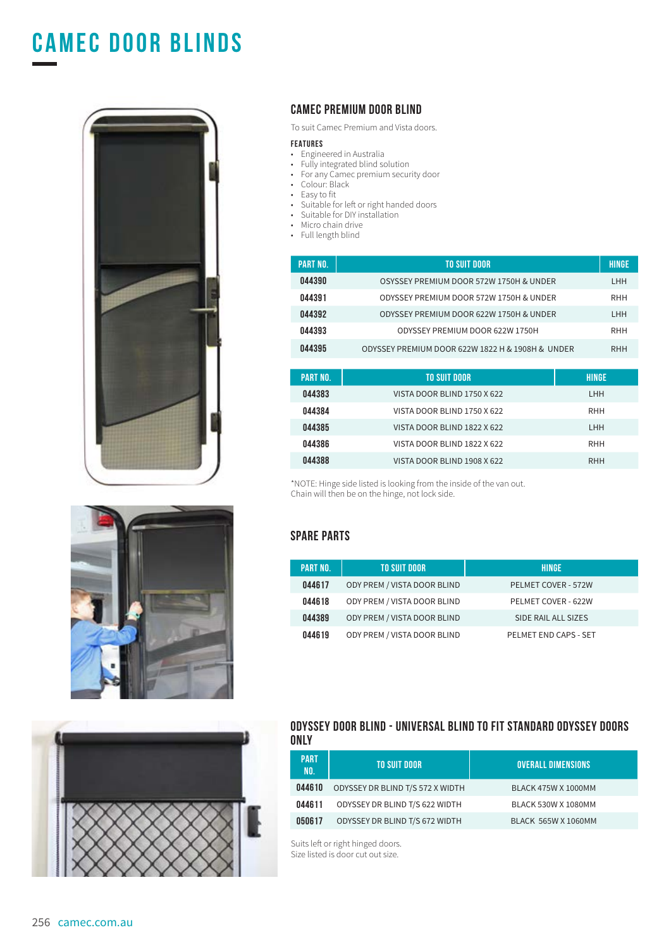# **CAMEC DOOR BLINDs**







### **CAMEC PREMIUM DOOR BLIND**

To suit Camec Premium and Vista doors.

#### **FEATURES**

- Engineered in Australia
- Fully integrated blind solution
- For any Camec premium security door
- Colour: Black
- Easy to fit
- Suitable for left or right handed doors
- Suitable for DIY installation
- Micro chain drive
- Full length blind

| <b>PART NO.</b> | TO SUIT DOOR                                     | <b>HINGE</b> |
|-----------------|--------------------------------------------------|--------------|
| 044390          | OSYSSEY PREMIUM DOOR 572W 1750H & UNDER          | <b>LHH</b>   |
| 044391          | ODYSSEY PREMIUM DOOR 572W 1750H & UNDER          | <b>RHH</b>   |
| 044392          | ODYSSEY PREMIUM DOOR 622W 1750H & UNDER          | <b>LHH</b>   |
| 044393          | ODYSSEY PREMIUM DOOR 622W 1750H                  | <b>RHH</b>   |
| 044395          | ODYSSEY PREMIUM DOOR 622W 1822 H & 1908H & UNDER | <b>RHH</b>   |

| PART NO. | TO SUIT DOOR                | <b>HINGE</b> |
|----------|-----------------------------|--------------|
| 044383   | VISTA DOOR BLIND 1750 X 622 | LHH.         |
| 044384   | VISTA DOOR BLIND 1750 X 622 | <b>RHH</b>   |
| 044385   | VISTA DOOR BLIND 1822 X 622 | LHH.         |
| 044386   | VISTA DOOR BLIND 1822 X 622 | <b>RHH</b>   |
| 044388   | VISTA DOOR BLIND 1908 X 622 | <b>RHH</b>   |

\*NOTE: Hinge side listed is looking from the inside of the van out. Chain will then be on the hinge, not lock side.

#### **SPARE PARTS**

| PART NO. | <b>TO SUIT DOOR</b>         | HINGE                      |
|----------|-----------------------------|----------------------------|
| 044617   | ODY PREM / VISTA DOOR BLIND | <b>PELMET COVER - 572W</b> |
| 044618   | ODY PREM / VISTA DOOR BLIND | PELMET COVER - 622W        |
| 044389   | ODY PREM / VISTA DOOR BLIND | SIDE RAIL ALL SIZES        |
| 044619   | ODY PREM / VISTA DOOR BLIND | PELMET END CAPS - SET      |

#### **ODYSSEY DOOR BLIND - UNIVERSAL BLIND TO FIT STANDARD ODYSSEY DOORS ONLY**

| PART<br>NO. | TO SUIT DOOR                     | <b>OVERALL DIMENSIONS</b>  |
|-------------|----------------------------------|----------------------------|
| 044610      | ODYSSEY DR BLIND T/S 572 X WIDTH | <b>BLACK 475W X 1000MM</b> |
| 044611      | ODYSSEY DR BLIND T/S 622 WIDTH   | BLACK 530W X 1080MM        |
| 050617      | ODYSSEY DR BLIND T/S 672 WIDTH   | <b>BLACK 565W X 1060MM</b> |

Suits left or right hinged doors. Size listed is door cut out size.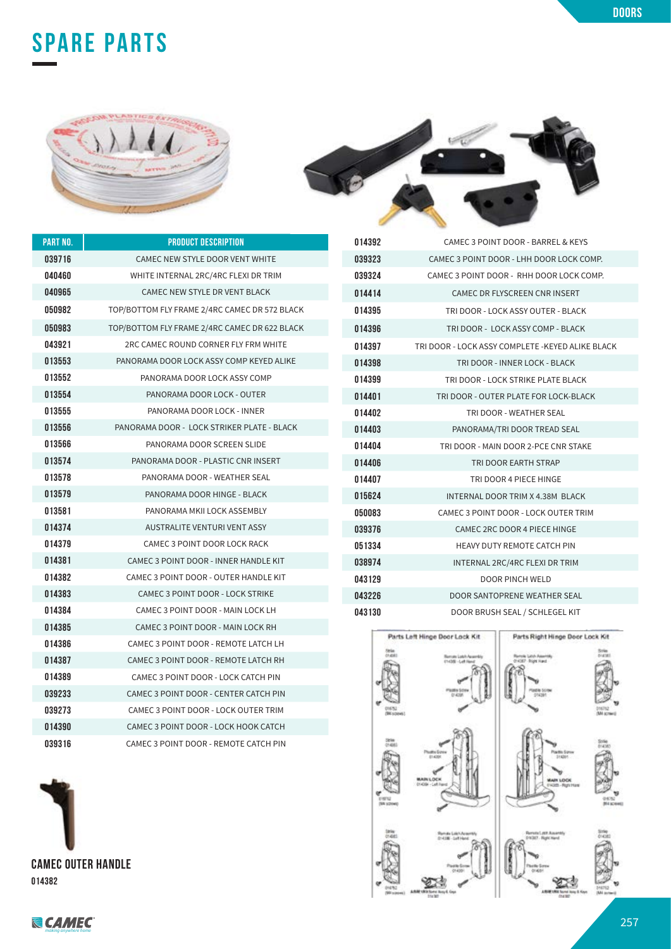



 CAMEC 3 POINT DOOR - BARREL & KEYS CAMEC 3 POINT DOOR - LHH DOOR LOCK COMP.

| PART NO. | <b>PRODUCT DESCRIPTION</b>                    |
|----------|-----------------------------------------------|
| 039716   | CAMEC NEW STYLE DOOR VENT WHITE               |
| 040460   | WHITE INTERNAL 2RC/4RC FLEXI DR TRIM          |
| 040965   | CAMEC NEW STYLE DR VENT BLACK                 |
| 050982   | TOP/BOTTOM FLY FRAME 2/4RC CAMEC DR 572 BLACK |
| 050983   | TOP/BOTTOM FLY FRAME 2/4RC CAMEC DR 622 BLACK |
| 043921   | 2RC CAMEC ROUND CORNER FLY FRM WHITE          |
| 013553   | PANORAMA DOOR LOCK ASSY COMP KEYED ALIKE      |
| 013552   | PANORAMA DOOR LOCK ASSY COMP                  |
| 013554   | PANORAMA DOOR LOCK - OUTER                    |
| 013555   | PANORAMA DOOR LOCK - INNER                    |
| 013556   | PANORAMA DOOR - LOCK STRIKER PLATE - BLACK    |
| 013566   | PANORAMA DOOR SCREEN SLIDE                    |
| 013574   | PANORAMA DOOR - PLASTIC CNR INSERT            |
| 013578   | PANORAMA DOOR - WEATHER SEAL                  |
| 013579   | PANORAMA DOOR HINGE - BLACK                   |
| 013581   | PANORAMA MKII LOCK ASSEMBLY                   |
| 014374   | <b>AUSTRALITE VENTURI VENT ASSY</b>           |
| 014379   | CAMEC 3 POINT DOOR LOCK RACK                  |
| 014381   | CAMEC 3 POINT DOOR - INNER HANDLE KIT         |
| 014382   | CAMEC 3 POINT DOOR - OUTER HANDLE KIT         |
| 014383   | CAMEC 3 POINT DOOR - LOCK STRIKE              |
| 014384   | CAMEC 3 POINT DOOR - MAIN LOCK LH             |
| 014385   | CAMEC 3 POINT DOOR - MAIN LOCK RH             |
| 014386   | CAMEC 3 POINT DOOR - REMOTE LATCH LH          |
| 014387   | CAMEC 3 POINT DOOR - REMOTE LATCH RH          |
| 014389   | CAMEC 3 POINT DOOR - LOCK CATCH PIN           |
| 039233   | CAMEC 3 POINT DOOR - CENTER CATCH PIN         |
| 039273   | CAMEC 3 POINT DOOR - LOCK OUTER TRIM          |
| 014390   | CAMEC 3 POINT DOOR - LOCK HOOK CATCH          |
| 039316   | CAMEC 3 POINT DOOR - REMOTE CATCH PIN         |



| 039324 | CAMEC 3 POINT DOOR - RHH DOOR LOCK COMP.          |
|--------|---------------------------------------------------|
| 014414 | CAMEC DR FLYSCREEN CNR INSERT                     |
| 014395 | TRI DOOR - LOCK ASSY OUTER - BLACK                |
| 014396 | TRI DOOR - LOCK ASSY COMP - BLACK                 |
| 014397 | TRI DOOR - LOCK ASSY COMPLETE - KEYED ALIKE BLACK |
| 014398 | TRI DOOR - INNER LOCK - BLACK                     |
| 014399 | TRI DOOR - LOCK STRIKE PLATE BLACK                |
| 014401 | TRI DOOR - OUTER PLATE FOR LOCK-BLACK             |
| 014402 | TRI DOOR - WEATHER SEAL                           |
| 014403 | PANORAMA/TRI DOOR TREAD SEAL                      |
| 014404 | TRI DOOR - MAIN DOOR 2-PCE CNR STAKE              |
| 014406 | TRI DOOR EARTH STRAP                              |
| 014407 | TRI DOOR 4 PIECE HINGE                            |
| 015624 | <b>INTERNAL DOOR TRIM X 4.38M BLACK</b>           |
| 050083 | CAMEC 3 POINT DOOR - LOCK OUTER TRIM              |
| 039376 | <b>CAMEC 2RC DOOR 4 PIECE HINGE</b>               |
| 051334 | HEAVY DUTY REMOTE CATCH PIN                       |
| 038974 | INTERNAL 2RC/4RC FLEXI DR TRIM                    |
| 043129 | <b>DOOR PINCH WELD</b>                            |
| 043226 | DOOR SANTOPRENE WEATHER SEAL                      |
| 043130 | DOOR BRUSH SEAL / SCHLEGEL KIT                    |





Parts Right Hinge Door Lock Kit



**doors**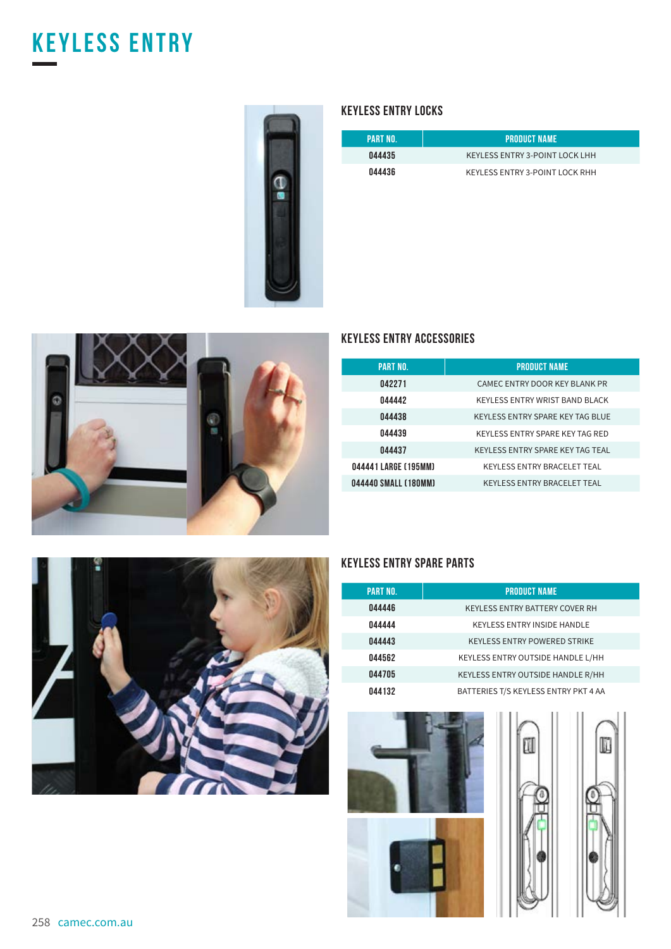# **keyless entry**



### **KEYLESS ENTRY LOCKS**

| PART NO. | <b>PRODUCT NAME</b>            |
|----------|--------------------------------|
| 044435   | KEYLESS ENTRY 3-POINT LOCK LHH |
| 044436   | KEYLESS ENTRY 3-POINT LOCK RHH |



### **KEYLESS ENTRY ACCESSORIES**

| <b>PART NO.</b>      | <b>PRODUCT NAME</b>                |
|----------------------|------------------------------------|
| 042271               | CAMEC ENTRY DOOR KEY BLANK PR      |
| 044442               | KEYLESS ENTRY WRIST BAND BLACK     |
| 044438               | KEYLESS ENTRY SPARE KEY TAG BLUE   |
| 044439               | KEYLESS ENTRY SPARE KEY TAG RED    |
| 044437               | KEYLESS ENTRY SPARE KEY TAG TEAL   |
| 044441 LARGE (195MM) | <b>KEYLESS ENTRY BRACELET TEAL</b> |
| 044440 SMALL (180MM) | <b>KEYLESS ENTRY BRACELET TEAL</b> |



### **KEYLESS ENTRY SPARE PARTS**

| <b>PART NO.</b> | <b>PRODUCT NAME</b>                   |
|-----------------|---------------------------------------|
| 044446          | <b>KEYLESS ENTRY BATTERY COVER RH</b> |
| 044444          | <b>KEYLESS ENTRY INSIDE HANDLE</b>    |
| 044443          | <b>KEYLESS ENTRY POWERED STRIKE</b>   |
| 044562          | KEYLESS ENTRY OUTSIDE HANDLE L/HH     |
| 044705          | KEYLESS ENTRY OUTSIDE HANDLE R/HH     |
| 044132          | BATTERIES T/S KEYLESS ENTRY PKT 4 AA  |







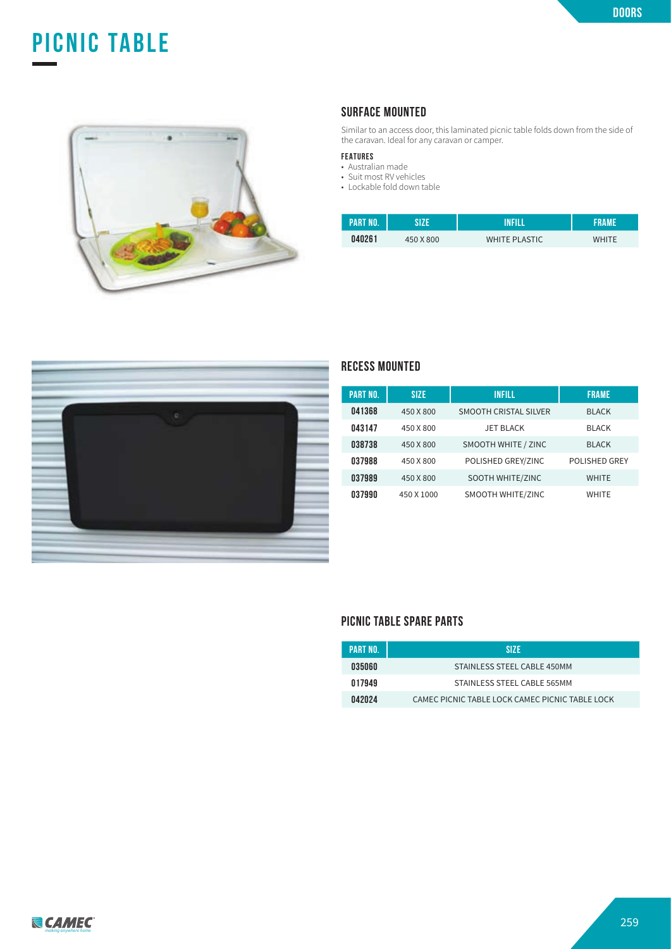# **picnic table**



### **SURFACE MOUNTED**

Similar to an access door, this laminated picnic table folds down from the side of the caravan. Ideal for any caravan or camper.

#### **FEATURES**

- Australian made
- Suit most RV vehicles
- Lockable fold down table

| <b>APART NO.</b> | SI7F      | INFILL               | FRAME        |
|------------------|-----------|----------------------|--------------|
| 040261           | 450 X 800 | <b>WHITE PLASTIC</b> | <b>WHITE</b> |



### **RECESS MOUNTED**

| <b>PART NO.</b> | <b>SIZE</b> | <b>INFILL</b>                | <b>FRAME</b>         |
|-----------------|-------------|------------------------------|----------------------|
| 041368          | 450 X 800   | <b>SMOOTH CRISTAL SILVER</b> | <b>BLACK</b>         |
| 043147          | 450 X 800   | <b>JET BLACK</b>             | <b>BLACK</b>         |
| 038738          | 450 X 800   | SMOOTH WHITE / ZINC          | <b>BLACK</b>         |
| 037988          | 450 X 800   | POLISHED GREY/ZINC           | <b>POLISHED GREY</b> |
| 037989          | 450 X 800   | SOOTH WHITE/ZINC             | <b>WHITE</b>         |
| 037990          | 450 X 1000  | SMOOTH WHITE/ZINC            | <b>WHITE</b>         |

#### **PICNIC TABLE SPARE PARTS**

| PART NO. | SI7F                                            |
|----------|-------------------------------------------------|
| 035060   | STAINLESS STEEL CABLE 450MM                     |
| 017949   | STAINLESS STEEL CABLE 565MM                     |
| 042024   | CAMEC PICNIC TABLE LOCK CAMEC PICNIC TABLE LOCK |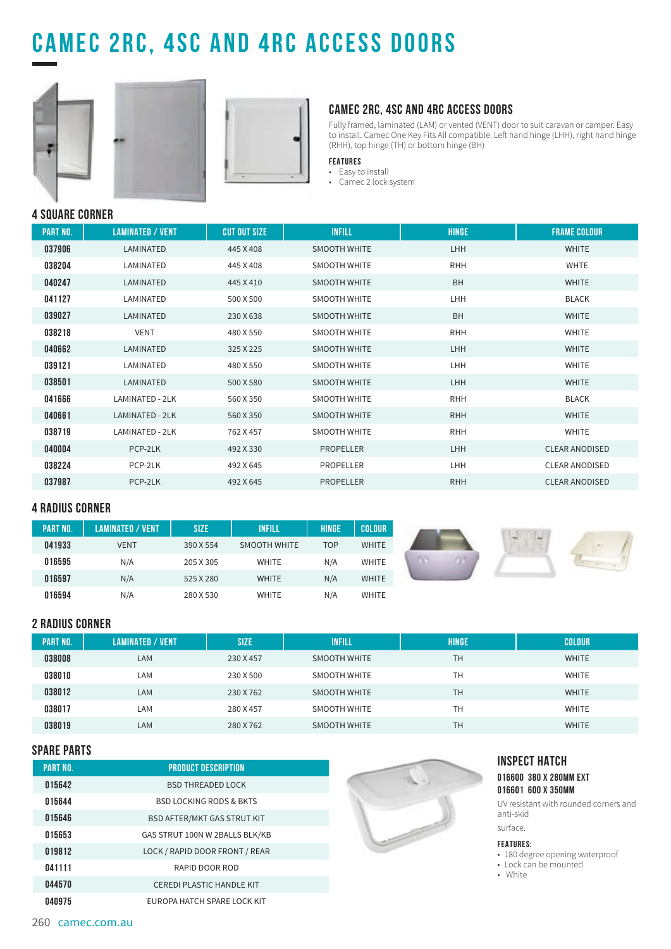# **CAMEC 2RC, 4SC AND 4RC ACCESS DOORs**





### **CAMEC 2RC, 4SC AND 4RC ACCESS DOORS**

Fully framed, laminated (LAM) or vented (VENT) door to suit caravan or camper. Easy to install. Camec One Key Fits All compatible. Left hand hinge (LHH), right hand hinge (RHH), top hinge (TH) or bottom hinge (BH)

#### **FEATURES**

• Easy to install • Camec 2 lock system

**4 SQUARE CORNER**

| <b>PART NO.</b> | <b>LAMINATED / VENT</b> | <b>CUT OUT SIZE</b> | <b>INFILL</b>       | <b>HINGE</b> | <b>FRAME COLOUR</b>   |
|-----------------|-------------------------|---------------------|---------------------|--------------|-----------------------|
| 037906          | LAMINATED               | 445 X 408           | <b>SMOOTH WHITE</b> | LHH          | <b>WHITE</b>          |
| 038204          | LAMINATED               | 445 X 408           | SMOOTH WHITE        | <b>RHH</b>   | <b>WHTE</b>           |
| 040247          | LAMINATED               | 445 X 410           | <b>SMOOTH WHITE</b> | <b>BH</b>    | <b>WHITE</b>          |
| 041127          | LAMINATED               | 500 X 500           | <b>SMOOTH WHITE</b> | LHH          | <b>BLACK</b>          |
| 039027          | LAMINATED               | 230 X 638           | <b>SMOOTH WHITE</b> | <b>BH</b>    | <b>WHITE</b>          |
| 038218          | <b>VENT</b>             | 480 X 550           | <b>SMOOTH WHITE</b> | <b>RHH</b>   | <b>WHITE</b>          |
| 040662          | LAMINATED               | 325 X 225           | <b>SMOOTH WHITE</b> | LHH          | <b>WHITE</b>          |
| 039121          | LAMINATED               | 480 X 550           | SMOOTH WHITE        | LHH          | <b>WHITE</b>          |
| 038501          | LAMINATED               | 500 X 580           | <b>SMOOTH WHITE</b> | LHH          | <b>WHITE</b>          |
| 041666          | LAMINATED - 2LK         | 560 X 350           | SMOOTH WHITE        | <b>RHH</b>   | <b>BLACK</b>          |
| 040661          | LAMINATED - 2LK         | 560 X 350           | <b>SMOOTH WHITE</b> | <b>RHH</b>   | <b>WHITE</b>          |
| 038719          | LAMINATED - 2LK         | 762 X 457           | SMOOTH WHITE        | <b>RHH</b>   | <b>WHITE</b>          |
| 040004          | PCP-2LK                 | 492 X 330           | <b>PROPELLER</b>    | <b>LHH</b>   | <b>CLEAR ANODISED</b> |
| 038224          | PCP-2LK                 | 492 X 645           | <b>PROPELLER</b>    | LHH          | <b>CLEAR ANODISED</b> |
| 037987          | PCP-2LK                 | 492 X 645           | <b>PROPELLER</b>    | <b>RHH</b>   | <b>CLEAR ANODISED</b> |

#### **4 RADIUS CORNER**

| <b>PART NO.</b> | <b>LAMINATED / VENT</b> | <b>SIZE</b> | <b>INFILL</b>       | HINGE      | <b>COLOUR</b> |
|-----------------|-------------------------|-------------|---------------------|------------|---------------|
| 041933          | <b>VENT</b>             | 390 X 554   | <b>SMOOTH WHITE</b> | <b>TOP</b> | <b>WHITE</b>  |
| 016595          | N/A                     | 205 X 305   | <b>WHITE</b>        | N/A        | <b>WHITE</b>  |
| 016597          | N/A                     | 525 X 280   | <b>WHITE</b>        | N/A        | <b>WHITE</b>  |
| 016594          | N/A                     | 280 X 530   | <b>WHITE</b>        | N/A        | <b>WHITE</b>  |

### **2 RADIUS CORNER**

| <b>PART NO.</b> | <b>LAMINATED / VENT</b> | <b>SIZE</b> | <b>INFILL</b>       | <b>HINGE</b> | <b>COLOUR</b> |
|-----------------|-------------------------|-------------|---------------------|--------------|---------------|
| 038008          | LAM                     | 230 X 457   | <b>SMOOTH WHITE</b> | <b>TH</b>    | <b>WHITE</b>  |
| 038010          | LAM                     | 230 X 500   | SMOOTH WHITE        | <b>TH</b>    | <b>WHITE</b>  |
| 038012          | LAM                     | 230 X 762   | <b>SMOOTH WHITE</b> | <b>TH</b>    | <b>WHITE</b>  |
| 038017          | LAM                     | 280 X 457   | SMOOTH WHITE        | <b>TH</b>    | <b>WHITE</b>  |
| 038019          | LAM                     | 280 X 762   | SMOOTH WHITE        | <b>TH</b>    | <b>WHITE</b>  |

### **SPARE PARTS**

| OF ANL FANIO    |                                    |                                                     |
|-----------------|------------------------------------|-----------------------------------------------------|
| <b>PART NO.</b> | <b>PRODUCT DESCRIPTION</b>         | <b>INSPECT HATCH</b>                                |
| 015642          | <b>BSD THREADED LOCK</b>           | 016600 380 X 280MM EXT<br>016601 600 X 350MM        |
| 015644          | <b>BSD LOCKING RODS &amp; BKTS</b> | UV resistant with rounded corners and               |
| 015646          | <b>BSD AFTER/MKT GAS STRUT KIT</b> | anti-skid                                           |
| 015653          | GAS STRUT 100N W 2BALLS BLK/KB     | surface.                                            |
| 019812          | LOCK / RAPID DOOR FRONT / REAR     | <b>FEATURES:</b><br>• 180 degree opening waterproof |
| 041111          | RAPID DOOR ROD                     | · Lock can be mounted<br>• White                    |
| 044570          | <b>CEREDI PLASTIC HANDLE KIT</b>   |                                                     |
| 040975          | EUROPA HATCH SPARE LOCK KIT        |                                                     |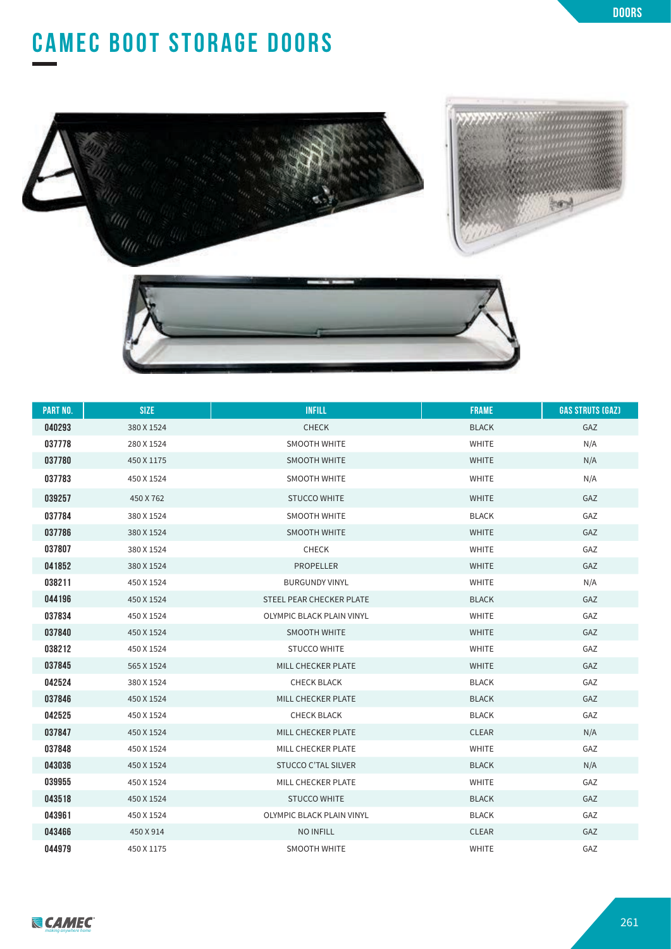# **CAMEC BOOT STORAGE DOORS**





| <b>PART NO.</b> | <b>SIZE</b> | <b>INFILL</b>                    | <b>FRAME</b> | <b>GAS STRUTS (GAZ)</b> |
|-----------------|-------------|----------------------------------|--------------|-------------------------|
| 040293          | 380 X 1524  | <b>CHECK</b>                     | <b>BLACK</b> | GAZ                     |
| 037778          | 280 X 1524  | <b>SMOOTH WHITE</b>              | <b>WHITE</b> | N/A                     |
| 037780          | 450 X 1175  | <b>SMOOTH WHITE</b>              | <b>WHITE</b> | N/A                     |
| 037783          | 450 X 1524  | <b>SMOOTH WHITE</b>              | <b>WHITE</b> | N/A                     |
| 039257          | 450 X 762   | <b>STUCCO WHITE</b>              | <b>WHITE</b> | GAZ                     |
| 037784          | 380 X 1524  | <b>SMOOTH WHITE</b>              | <b>BLACK</b> | GAZ                     |
| 037786          | 380 X 1524  | <b>SMOOTH WHITE</b>              | <b>WHITE</b> | GAZ                     |
| 037807          | 380 X 1524  | <b>CHECK</b>                     | <b>WHITE</b> | GAZ                     |
| 041852          | 380 X 1524  | <b>PROPELLER</b>                 | <b>WHITE</b> | GAZ                     |
| 038211          | 450 X 1524  | <b>BURGUNDY VINYL</b>            | <b>WHITE</b> | N/A                     |
| 044196          | 450 X 1524  | STEEL PEAR CHECKER PLATE         | <b>BLACK</b> | GAZ                     |
| 037834          | 450 X 1524  | <b>OLYMPIC BLACK PLAIN VINYL</b> | <b>WHITE</b> | GAZ                     |
| 037840          | 450 X 1524  | <b>SMOOTH WHITE</b>              | <b>WHITE</b> | GAZ                     |
| 038212          | 450 X 1524  | <b>STUCCO WHITE</b>              | <b>WHITE</b> | GAZ                     |
| 037845          | 565 X 1524  | MILL CHECKER PLATE               | <b>WHITE</b> | GAZ                     |
| 042524          | 380 X 1524  | <b>CHECK BLACK</b>               | <b>BLACK</b> | GAZ                     |
| 037846          | 450 X 1524  | MILL CHECKER PLATE               | <b>BLACK</b> | GAZ                     |
| 042525          | 450 X 1524  | <b>CHECK BLACK</b>               | <b>BLACK</b> | GAZ                     |
| 037847          | 450 X 1524  | MILL CHECKER PLATE               | <b>CLEAR</b> | N/A                     |
| 037848          | 450 X 1524  | MILL CHECKER PLATE               | <b>WHITE</b> | GAZ                     |
| 043036          | 450 X 1524  | <b>STUCCO C'TAL SILVER</b>       | <b>BLACK</b> | N/A                     |
| 039955          | 450 X 1524  | MILL CHECKER PLATE               | <b>WHITE</b> | GAZ                     |
| 043518          | 450 X 1524  | <b>STUCCO WHITE</b>              | <b>BLACK</b> | GAZ                     |
| 043961          | 450 X 1524  | OLYMPIC BLACK PLAIN VINYL        | <b>BLACK</b> | GAZ                     |
| 043466          | 450 X 914   | <b>NO INFILL</b>                 | <b>CLEAR</b> | GAZ                     |
| 044979          | 450 X 1175  | <b>SMOOTH WHITE</b>              | <b>WHITE</b> | GAZ                     |